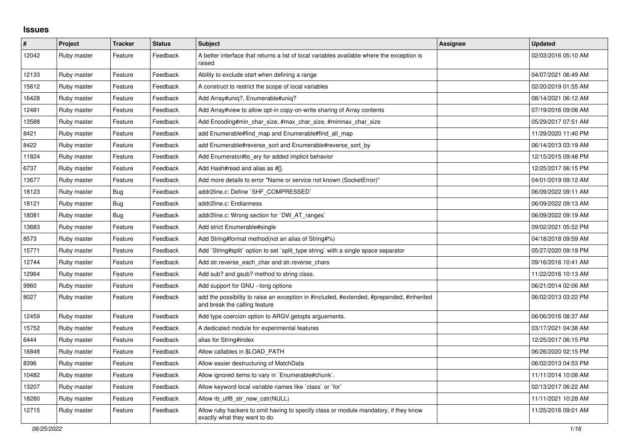## **Issues**

| $\pmb{\#}$ | <b>Project</b> | <b>Tracker</b> | <b>Status</b> | <b>Subject</b>                                                                                                             | Assignee | <b>Updated</b>      |
|------------|----------------|----------------|---------------|----------------------------------------------------------------------------------------------------------------------------|----------|---------------------|
| 12042      | Ruby master    | Feature        | Feedback      | A better interface that returns a list of local variables available where the exception is<br>raised                       |          | 02/03/2016 05:10 AM |
| 12133      | Ruby master    | Feature        | Feedback      | Ability to exclude start when defining a range                                                                             |          | 04/07/2021 06:49 AM |
| 15612      | Ruby master    | Feature        | Feedback      | A construct to restrict the scope of local variables                                                                       |          | 02/20/2019 01:55 AM |
| 16428      | Ruby master    | Feature        | Feedback      | Add Array#uniq?, Enumerable#uniq?                                                                                          |          | 08/14/2021 06:12 AM |
| 12481      | Ruby master    | Feature        | Feedback      | Add Array#view to allow opt-in copy-on-write sharing of Array contents                                                     |          | 07/19/2016 09:08 AM |
| 13588      | Ruby master    | Feature        | Feedback      | Add Encoding#min_char_size, #max_char_size, #minmax_char_size                                                              |          | 05/29/2017 07:51 AM |
| 8421       | Ruby master    | Feature        | Feedback      | add Enumerable#find map and Enumerable#find all map                                                                        |          | 11/29/2020 11:40 PM |
| 8422       | Ruby master    | Feature        | Feedback      | add Enumerable#reverse_sort and Enumerable#reverse_sort_by                                                                 |          | 06/14/2013 03:19 AM |
| 11824      | Ruby master    | Feature        | Feedback      | Add Enumerator#to_ary for added implicit behavior                                                                          |          | 12/15/2015 09:48 PM |
| 6737       | Ruby master    | Feature        | Feedback      | Add Hash#read and alias as #[].                                                                                            |          | 12/25/2017 06:15 PM |
| 13677      | Ruby master    | Feature        | Feedback      | Add more details to error "Name or service not known (SocketError)"                                                        |          | 04/01/2019 09:12 AM |
| 18123      | Ruby master    | <b>Bug</b>     | Feedback      | addr2line.c: Define `SHF_COMPRESSED`                                                                                       |          | 06/09/2022 09:11 AM |
| 18121      | Ruby master    | Bug            | Feedback      | addr2line.c: Endianness                                                                                                    |          | 06/09/2022 09:13 AM |
| 18081      | Ruby master    | <b>Bug</b>     | Feedback      | addr2line.c: Wrong section for `DW_AT_ranges`                                                                              |          | 06/09/2022 09:19 AM |
| 13683      | Ruby master    | Feature        | Feedback      | Add strict Enumerable#single                                                                                               |          | 09/02/2021 05:52 PM |
| 8573       | Ruby master    | Feature        | Feedback      | Add String#format method(not an alias of String#%)                                                                         |          | 04/18/2018 09:59 AM |
| 15771      | Ruby master    | Feature        | Feedback      | Add `String#split` option to set `split type string` with a single space separator                                         |          | 05/27/2020 09:19 PM |
| 12744      | Ruby master    | Feature        | Feedback      | Add str.reverse_each_char and str.reverse_chars                                                                            |          | 09/16/2016 10:41 AM |
| 12964      | Ruby master    | Feature        | Feedback      | Add sub? and gsub? method to string class.                                                                                 |          | 11/22/2016 10:13 AM |
| 9960       | Ruby master    | Feature        | Feedback      | Add support for GNU --long options                                                                                         |          | 06/21/2014 02:06 AM |
| 8027       | Ruby master    | Feature        | Feedback      | add the possibility to raise an exception in #included, #extended, #prepended, #inherited<br>and break the calling feature |          | 06/02/2013 03:22 PM |
| 12459      | Ruby master    | Feature        | Feedback      | Add type coercion option to ARGV getopts arguements.                                                                       |          | 06/06/2016 08:37 AM |
| 15752      | Ruby master    | Feature        | Feedback      | A dedicated module for experimental features                                                                               |          | 03/17/2021 04:38 AM |
| 6444       | Ruby master    | Feature        | Feedback      | alias for String#index                                                                                                     |          | 12/25/2017 06:15 PM |
| 16848      | Ruby master    | Feature        | Feedback      | Allow callables in \$LOAD PATH                                                                                             |          | 06/26/2020 02:15 PM |
| 8396       | Ruby master    | Feature        | Feedback      | Allow easier destructuring of MatchData                                                                                    |          | 06/02/2013 04:53 PM |
| 10482      | Ruby master    | Feature        | Feedback      | Allow ignored items to vary in `Enumerable#chunk`.                                                                         |          | 11/11/2014 10:08 AM |
| 13207      | Ruby master    | Feature        | Feedback      | Allow keyword local variable names like `class` or `for`                                                                   |          | 02/13/2017 06:22 AM |
| 18280      | Ruby master    | Feature        | Feedback      | Allow rb utf8 str new cstr(NULL)                                                                                           |          | 11/11/2021 10:28 AM |
| 12715      | Ruby master    | Feature        | Feedback      | Allow ruby hackers to omit having to specify class or module mandatory, if they know<br>exactly what they want to do       |          | 11/25/2016 09:01 AM |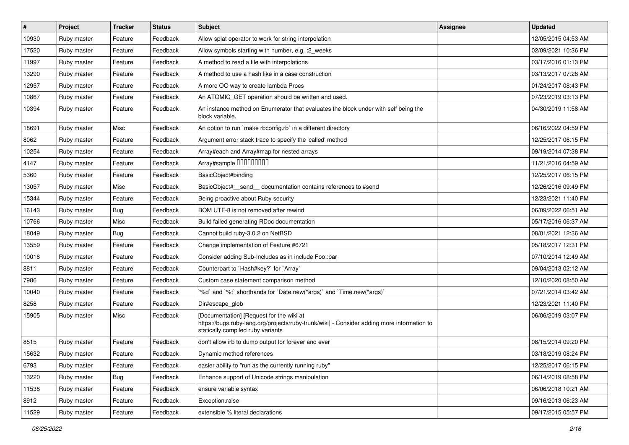| $\sharp$ | <b>Project</b> | <b>Tracker</b> | <b>Status</b> | Subject                                                                                                                                                                     | Assignee | <b>Updated</b>      |
|----------|----------------|----------------|---------------|-----------------------------------------------------------------------------------------------------------------------------------------------------------------------------|----------|---------------------|
| 10930    | Ruby master    | Feature        | Feedback      | Allow splat operator to work for string interpolation                                                                                                                       |          | 12/05/2015 04:53 AM |
| 17520    | Ruby master    | Feature        | Feedback      | Allow symbols starting with number, e.g. : 2_weeks                                                                                                                          |          | 02/09/2021 10:36 PM |
| 11997    | Ruby master    | Feature        | Feedback      | A method to read a file with interpolations                                                                                                                                 |          | 03/17/2016 01:13 PM |
| 13290    | Ruby master    | Feature        | Feedback      | A method to use a hash like in a case construction                                                                                                                          |          | 03/13/2017 07:28 AM |
| 12957    | Ruby master    | Feature        | Feedback      | A more OO way to create lambda Procs                                                                                                                                        |          | 01/24/2017 08:43 PM |
| 10867    | Ruby master    | Feature        | Feedback      | An ATOMIC_GET operation should be written and used.                                                                                                                         |          | 07/23/2019 03:13 PM |
| 10394    | Ruby master    | Feature        | Feedback      | An instance method on Enumerator that evaluates the block under with self being the<br>block variable.                                                                      |          | 04/30/2019 11:58 AM |
| 18691    | Ruby master    | Misc           | Feedback      | An option to run `make rbconfig.rb` in a different directory                                                                                                                |          | 06/16/2022 04:59 PM |
| 8062     | Ruby master    | Feature        | Feedback      | Argument error stack trace to specify the 'called' method                                                                                                                   |          | 12/25/2017 06:15 PM |
| 10254    | Ruby master    | Feature        | Feedback      | Array#each and Array#map for nested arrays                                                                                                                                  |          | 09/19/2014 07:38 PM |
| 4147     | Ruby master    | Feature        | Feedback      | Array#sample 00000000                                                                                                                                                       |          | 11/21/2016 04:59 AM |
| 5360     | Ruby master    | Feature        | Feedback      | BasicObject#binding                                                                                                                                                         |          | 12/25/2017 06:15 PM |
| 13057    | Ruby master    | Misc           | Feedback      | BasicObject#_send_ documentation contains references to #send                                                                                                               |          | 12/26/2016 09:49 PM |
| 15344    | Ruby master    | Feature        | Feedback      | Being proactive about Ruby security                                                                                                                                         |          | 12/23/2021 11:40 PM |
| 16143    | Ruby master    | Bug            | Feedback      | BOM UTF-8 is not removed after rewind                                                                                                                                       |          | 06/09/2022 06:51 AM |
| 10766    | Ruby master    | Misc           | Feedback      | Build failed generating RDoc documentation                                                                                                                                  |          | 05/17/2016 06:37 AM |
| 18049    | Ruby master    | Bug            | Feedback      | Cannot build ruby-3.0.2 on NetBSD                                                                                                                                           |          | 08/01/2021 12:36 AM |
| 13559    | Ruby master    | Feature        | Feedback      | Change implementation of Feature #6721                                                                                                                                      |          | 05/18/2017 12:31 PM |
| 10018    | Ruby master    | Feature        | Feedback      | Consider adding Sub-Includes as in include Foo::bar                                                                                                                         |          | 07/10/2014 12:49 AM |
| 8811     | Ruby master    | Feature        | Feedback      | Counterpart to `Hash#key?` for `Array`                                                                                                                                      |          | 09/04/2013 02:12 AM |
| 7986     | Ruby master    | Feature        | Feedback      | Custom case statement comparison method                                                                                                                                     |          | 12/10/2020 08:50 AM |
| 10040    | Ruby master    | Feature        | Feedback      | '%d' and '%t' shorthands for 'Date.new(*args)' and 'Time.new(*args)'                                                                                                        |          | 07/21/2014 03:42 AM |
| 8258     | Ruby master    | Feature        | Feedback      | Dir#escape_glob                                                                                                                                                             |          | 12/23/2021 11:40 PM |
| 15905    | Ruby master    | Misc           | Feedback      | [Documentation] [Request for the wiki at<br>https://bugs.ruby-lang.org/projects/ruby-trunk/wiki] - Consider adding more information to<br>statically compiled ruby variants |          | 06/06/2019 03:07 PM |
| 8515     | Ruby master    | Feature        | Feedback      | don't allow irb to dump output for forever and ever                                                                                                                         |          | 08/15/2014 09:20 PM |
| 15632    | Ruby master    | Feature        | Feedback      | Dynamic method references                                                                                                                                                   |          | 03/18/2019 08:24 PM |
| 6793     | Ruby master    | Feature        | Feedback      | easier ability to "run as the currently running ruby"                                                                                                                       |          | 12/25/2017 06:15 PM |
| 13220    | Ruby master    | <b>Bug</b>     | Feedback      | Enhance support of Unicode strings manipulation                                                                                                                             |          | 06/14/2019 08:58 PM |
| 11538    | Ruby master    | Feature        | Feedback      | ensure variable syntax                                                                                                                                                      |          | 06/06/2018 10:21 AM |
| 8912     | Ruby master    | Feature        | Feedback      | Exception.raise                                                                                                                                                             |          | 09/16/2013 06:23 AM |
| 11529    | Ruby master    | Feature        | Feedback      | extensible % literal declarations                                                                                                                                           |          | 09/17/2015 05:57 PM |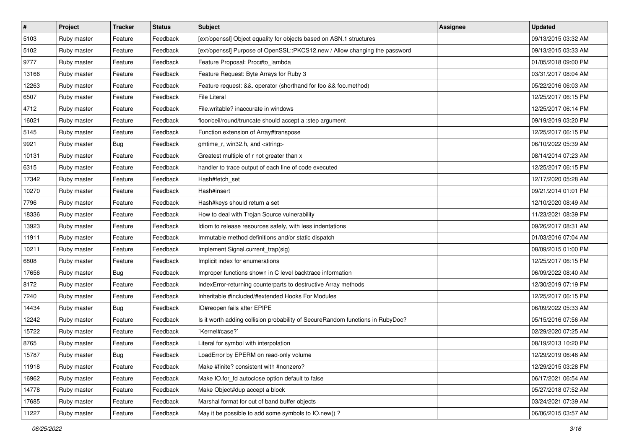| $\vert$ # | Project     | <b>Tracker</b> | <b>Status</b> | <b>Subject</b>                                                                 | <b>Assignee</b> | <b>Updated</b>      |
|-----------|-------------|----------------|---------------|--------------------------------------------------------------------------------|-----------------|---------------------|
| 5103      | Ruby master | Feature        | Feedback      | [ext/openssl] Object equality for objects based on ASN.1 structures            |                 | 09/13/2015 03:32 AM |
| 5102      | Ruby master | Feature        | Feedback      | [ext/openssl] Purpose of OpenSSL::PKCS12.new / Allow changing the password     |                 | 09/13/2015 03:33 AM |
| 9777      | Ruby master | Feature        | Feedback      | Feature Proposal: Proc#to_lambda                                               |                 | 01/05/2018 09:00 PM |
| 13166     | Ruby master | Feature        | Feedback      | Feature Request: Byte Arrays for Ruby 3                                        |                 | 03/31/2017 08:04 AM |
| 12263     | Ruby master | Feature        | Feedback      | Feature request: &&. operator (shorthand for foo && foo.method)                |                 | 05/22/2016 06:03 AM |
| 6507      | Ruby master | Feature        | Feedback      | <b>File Literal</b>                                                            |                 | 12/25/2017 06:15 PM |
| 4712      | Ruby master | Feature        | Feedback      | File.writable? inaccurate in windows                                           |                 | 12/25/2017 06:14 PM |
| 16021     | Ruby master | Feature        | Feedback      | floor/ceil/round/truncate should accept a :step argument                       |                 | 09/19/2019 03:20 PM |
| 5145      | Ruby master | Feature        | Feedback      | Function extension of Array#transpose                                          |                 | 12/25/2017 06:15 PM |
| 9921      | Ruby master | Bug            | Feedback      | gmtime_r, win32.h, and <string></string>                                       |                 | 06/10/2022 05:39 AM |
| 10131     | Ruby master | Feature        | Feedback      | Greatest multiple of r not greater than x                                      |                 | 08/14/2014 07:23 AM |
| 6315      | Ruby master | Feature        | Feedback      | handler to trace output of each line of code executed                          |                 | 12/25/2017 06:15 PM |
| 17342     | Ruby master | Feature        | Feedback      | Hash#fetch_set                                                                 |                 | 12/17/2020 05:28 AM |
| 10270     | Ruby master | Feature        | Feedback      | Hash#insert                                                                    |                 | 09/21/2014 01:01 PM |
| 7796      | Ruby master | Feature        | Feedback      | Hash#keys should return a set                                                  |                 | 12/10/2020 08:49 AM |
| 18336     | Ruby master | Feature        | Feedback      | How to deal with Trojan Source vulnerability                                   |                 | 11/23/2021 08:39 PM |
| 13923     | Ruby master | Feature        | Feedback      | Idiom to release resources safely, with less indentations                      |                 | 09/26/2017 08:31 AM |
| 11911     | Ruby master | Feature        | Feedback      | Immutable method definitions and/or static dispatch                            |                 | 01/03/2016 07:04 AM |
| 10211     | Ruby master | Feature        | Feedback      | Implement Signal.current_trap(sig)                                             |                 | 08/09/2015 01:00 PM |
| 6808      | Ruby master | Feature        | Feedback      | Implicit index for enumerations                                                |                 | 12/25/2017 06:15 PM |
| 17656     | Ruby master | Bug            | Feedback      | Improper functions shown in C level backtrace information                      |                 | 06/09/2022 08:40 AM |
| 8172      | Ruby master | Feature        | Feedback      | IndexError-returning counterparts to destructive Array methods                 |                 | 12/30/2019 07:19 PM |
| 7240      | Ruby master | Feature        | Feedback      | Inheritable #included/#extended Hooks For Modules                              |                 | 12/25/2017 06:15 PM |
| 14434     | Ruby master | Bug            | Feedback      | IO#reopen fails after EPIPE                                                    |                 | 06/09/2022 05:33 AM |
| 12242     | Ruby master | Feature        | Feedback      | Is it worth adding collision probability of SecureRandom functions in RubyDoc? |                 | 05/15/2016 07:56 AM |
| 15722     | Ruby master | Feature        | Feedback      | `Kernel#case?`                                                                 |                 | 02/29/2020 07:25 AM |
| 8765      | Ruby master | Feature        | Feedback      | Literal for symbol with interpolation                                          |                 | 08/19/2013 10:20 PM |
| 15787     | Ruby master | i Bug          | Feedback      | LoadError by EPERM on read-only volume                                         |                 | 12/29/2019 06:46 AM |
| 11918     | Ruby master | Feature        | Feedback      | Make #finite? consistent with #nonzero?                                        |                 | 12/29/2015 03:28 PM |
| 16962     | Ruby master | Feature        | Feedback      | Make IO.for_fd autoclose option default to false                               |                 | 06/17/2021 06:54 AM |
| 14778     | Ruby master | Feature        | Feedback      | Make Object#dup accept a block                                                 |                 | 05/27/2018 07:52 AM |
| 17685     | Ruby master | Feature        | Feedback      | Marshal format for out of band buffer objects                                  |                 | 03/24/2021 07:39 AM |
| 11227     | Ruby master | Feature        | Feedback      | May it be possible to add some symbols to IO.new()?                            |                 | 06/06/2015 03:57 AM |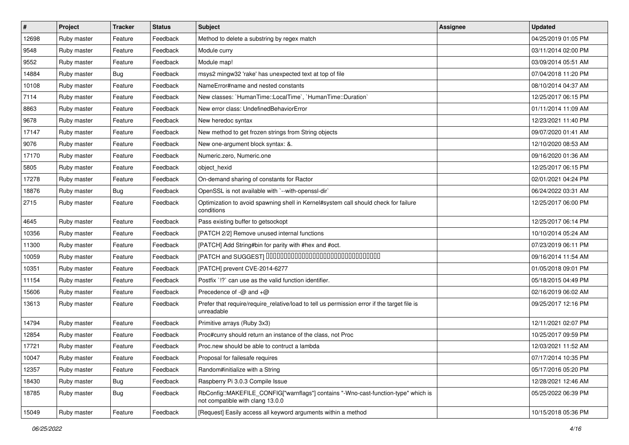| $\vert$ # | Project     | <b>Tracker</b> | <b>Status</b> | Subject                                                                                                                | <b>Assignee</b> | <b>Updated</b>      |
|-----------|-------------|----------------|---------------|------------------------------------------------------------------------------------------------------------------------|-----------------|---------------------|
| 12698     | Ruby master | Feature        | Feedback      | Method to delete a substring by regex match                                                                            |                 | 04/25/2019 01:05 PM |
| 9548      | Ruby master | Feature        | Feedback      | Module curry                                                                                                           |                 | 03/11/2014 02:00 PM |
| 9552      | Ruby master | Feature        | Feedback      | Module map!                                                                                                            |                 | 03/09/2014 05:51 AM |
| 14884     | Ruby master | <b>Bug</b>     | Feedback      | msys2 mingw32 'rake' has unexpected text at top of file                                                                |                 | 07/04/2018 11:20 PM |
| 10108     | Ruby master | Feature        | Feedback      | NameError#name and nested constants                                                                                    |                 | 08/10/2014 04:37 AM |
| 7114      | Ruby master | Feature        | Feedback      | New classes: `HumanTime::LocalTime`, `HumanTime::Duration`                                                             |                 | 12/25/2017 06:15 PM |
| 8863      | Ruby master | Feature        | Feedback      | New error class: UndefinedBehaviorError                                                                                |                 | 01/11/2014 11:09 AM |
| 9678      | Ruby master | Feature        | Feedback      | New heredoc syntax                                                                                                     |                 | 12/23/2021 11:40 PM |
| 17147     | Ruby master | Feature        | Feedback      | New method to get frozen strings from String objects                                                                   |                 | 09/07/2020 01:41 AM |
| 9076      | Ruby master | Feature        | Feedback      | New one-argument block syntax: &.                                                                                      |                 | 12/10/2020 08:53 AM |
| 17170     | Ruby master | Feature        | Feedback      | Numeric.zero, Numeric.one                                                                                              |                 | 09/16/2020 01:36 AM |
| 5805      | Ruby master | Feature        | Feedback      | object_hexid                                                                                                           |                 | 12/25/2017 06:15 PM |
| 17278     | Ruby master | Feature        | Feedback      | On-demand sharing of constants for Ractor                                                                              |                 | 02/01/2021 04:24 PM |
| 18876     | Ruby master | Bug            | Feedback      | OpenSSL is not available with `--with-openssl-dir`                                                                     |                 | 06/24/2022 03:31 AM |
| 2715      | Ruby master | Feature        | Feedback      | Optimization to avoid spawning shell in Kernel#system call should check for failure<br>conditions                      |                 | 12/25/2017 06:00 PM |
| 4645      | Ruby master | Feature        | Feedback      | Pass existing buffer to getsockopt                                                                                     |                 | 12/25/2017 06:14 PM |
| 10356     | Ruby master | Feature        | Feedback      | [PATCH 2/2] Remove unused internal functions                                                                           |                 | 10/10/2014 05:24 AM |
| 11300     | Ruby master | Feature        | Feedback      | [PATCH] Add String#bin for parity with #hex and #oct.                                                                  |                 | 07/23/2019 06:11 PM |
| 10059     | Ruby master | Feature        | Feedback      | [PATCH and SUGGEST] 0000000000000000000000000000000                                                                    |                 | 09/16/2014 11:54 AM |
| 10351     | Ruby master | Feature        | Feedback      | [PATCH] prevent CVE-2014-6277                                                                                          |                 | 01/05/2018 09:01 PM |
| 11154     | Ruby master | Feature        | Feedback      | Postfix '!?' can use as the valid function identifier.                                                                 |                 | 05/18/2015 04:49 PM |
| 15606     | Ruby master | Feature        | Feedback      | Precedence of -@ and +@                                                                                                |                 | 02/16/2019 06:02 AM |
| 13613     | Ruby master | Feature        | Feedback      | Prefer that require/require_relative/load to tell us permission error if the target file is<br>unreadable              |                 | 09/25/2017 12:16 PM |
| 14794     | Ruby master | Feature        | Feedback      | Primitive arrays (Ruby 3x3)                                                                                            |                 | 12/11/2021 02:07 PM |
| 12854     | Ruby master | Feature        | Feedback      | Proc#curry should return an instance of the class, not Proc                                                            |                 | 10/25/2017 09:59 PM |
| 17721     | Ruby master | Feature        | Feedback      | Proc.new should be able to contruct a lambda                                                                           |                 | 12/03/2021 11:52 AM |
| 10047     | Ruby master | Feature        | Feedback      | Proposal for failesafe requires                                                                                        |                 | 07/17/2014 10:35 PM |
| 12357     | Ruby master | Feature        | Feedback      | Random#initialize with a String                                                                                        |                 | 05/17/2016 05:20 PM |
| 18430     | Ruby master | <b>Bug</b>     | Feedback      | Raspberry Pi 3.0.3 Compile Issue                                                                                       |                 | 12/28/2021 12:46 AM |
| 18785     | Ruby master | <b>Bug</b>     | Feedback      | RbConfig::MAKEFILE_CONFIG["warnflags"] contains "-Wno-cast-function-type" which is<br>not compatible with clang 13.0.0 |                 | 05/25/2022 06:39 PM |
| 15049     | Ruby master | Feature        | Feedback      | [Request] Easily access all keyword arguments within a method                                                          |                 | 10/15/2018 05:36 PM |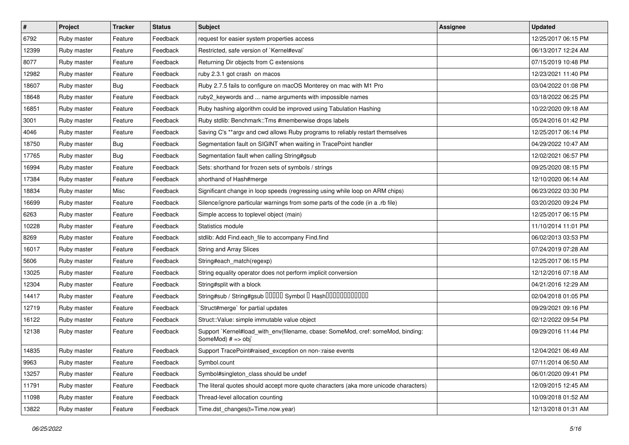| $\pmb{\#}$ | Project     | <b>Tracker</b> | <b>Status</b> | <b>Subject</b>                                                                                        | <b>Assignee</b> | <b>Updated</b>      |
|------------|-------------|----------------|---------------|-------------------------------------------------------------------------------------------------------|-----------------|---------------------|
| 6792       | Ruby master | Feature        | Feedback      | request for easier system properties access                                                           |                 | 12/25/2017 06:15 PM |
| 12399      | Ruby master | Feature        | Feedback      | Restricted, safe version of `Kernel#eval`                                                             |                 | 06/13/2017 12:24 AM |
| 8077       | Ruby master | Feature        | Feedback      | Returning Dir objects from C extensions                                                               |                 | 07/15/2019 10:48 PM |
| 12982      | Ruby master | Feature        | Feedback      | ruby 2.3.1 got crash on macos                                                                         |                 | 12/23/2021 11:40 PM |
| 18607      | Ruby master | Bug            | Feedback      | Ruby 2.7.5 fails to configure on macOS Monterey on mac with M1 Pro                                    |                 | 03/04/2022 01:08 PM |
| 18648      | Ruby master | Feature        | Feedback      | ruby2_keywords and  name arguments with impossible names                                              |                 | 03/18/2022 06:25 PM |
| 16851      | Ruby master | Feature        | Feedback      | Ruby hashing algorithm could be improved using Tabulation Hashing                                     |                 | 10/22/2020 09:18 AM |
| 3001       | Ruby master | Feature        | Feedback      | Ruby stdlib: Benchmark::Tms #memberwise drops labels                                                  |                 | 05/24/2016 01:42 PM |
| 4046       | Ruby master | Feature        | Feedback      | Saving C's ** argv and cwd allows Ruby programs to reliably restart themselves                        |                 | 12/25/2017 06:14 PM |
| 18750      | Ruby master | Bug            | Feedback      | Segmentation fault on SIGINT when waiting in TracePoint handler                                       |                 | 04/29/2022 10:47 AM |
| 17765      | Ruby master | Bug            | Feedback      | Segmentation fault when calling String#gsub                                                           |                 | 12/02/2021 06:57 PM |
| 16994      | Ruby master | Feature        | Feedback      | Sets: shorthand for frozen sets of symbols / strings                                                  |                 | 09/25/2020 08:15 PM |
| 17384      | Ruby master | Feature        | Feedback      | shorthand of Hash#merge                                                                               |                 | 12/10/2020 06:14 AM |
| 18834      | Ruby master | Misc           | Feedback      | Significant change in loop speeds (regressing using while loop on ARM chips)                          |                 | 06/23/2022 03:30 PM |
| 16699      | Ruby master | Feature        | Feedback      | Silence/ignore particular warnings from some parts of the code (in a .rb file)                        |                 | 03/20/2020 09:24 PM |
| 6263       | Ruby master | Feature        | Feedback      | Simple access to toplevel object (main)                                                               |                 | 12/25/2017 06:15 PM |
| 10228      | Ruby master | Feature        | Feedback      | Statistics module                                                                                     |                 | 11/10/2014 11:01 PM |
| 8269       | Ruby master | Feature        | Feedback      | stdlib: Add Find.each file to accompany Find.find                                                     |                 | 06/02/2013 03:53 PM |
| 16017      | Ruby master | Feature        | Feedback      | <b>String and Array Slices</b>                                                                        |                 | 07/24/2019 07:28 AM |
| 5606       | Ruby master | Feature        | Feedback      | String#each_match(regexp)                                                                             |                 | 12/25/2017 06:15 PM |
| 13025      | Ruby master | Feature        | Feedback      | String equality operator does not perform implicit conversion                                         |                 | 12/12/2016 07:18 AM |
| 12304      | Ruby master | Feature        | Feedback      | String#split with a block                                                                             |                 | 04/21/2016 12:29 AM |
| 14417      | Ruby master | Feature        | Feedback      | String#sub / String#gsub 00000 Symbol 0 Hash000000000000                                              |                 | 02/04/2018 01:05 PM |
| 12719      | Ruby master | Feature        | Feedback      | 'Struct#merge' for partial updates                                                                    |                 | 09/29/2021 09:16 PM |
| 16122      | Ruby master | Feature        | Feedback      | Struct::Value: simple immutable value object                                                          |                 | 02/12/2022 09:54 PM |
| 12138      | Ruby master | Feature        | Feedback      | Support `Kernel#load_with_env(filename, cbase: SomeMod, cref: someMod, binding:<br>SomeMod) # => obj` |                 | 09/29/2016 11:44 PM |
| 14835      | Ruby master | Feature        | Feedback      | Support TracePoint#raised_exception on non-:raise events                                              |                 | 12/04/2021 06:49 AM |
| 9963       | Ruby master | Feature        | Feedback      | Symbol.count                                                                                          |                 | 07/11/2014 06:50 AM |
| 13257      | Ruby master | Feature        | Feedback      | Symbol#singleton_class should be undef                                                                |                 | 06/01/2020 09:41 PM |
| 11791      | Ruby master | Feature        | Feedback      | The literal quotes should accept more quote characters (aka more unicode characters)                  |                 | 12/09/2015 12:45 AM |
| 11098      | Ruby master | Feature        | Feedback      | Thread-level allocation counting                                                                      |                 | 10/09/2018 01:52 AM |
| 13822      | Ruby master | Feature        | Feedback      | Time.dst_changes(t=Time.now.year)                                                                     |                 | 12/13/2018 01:31 AM |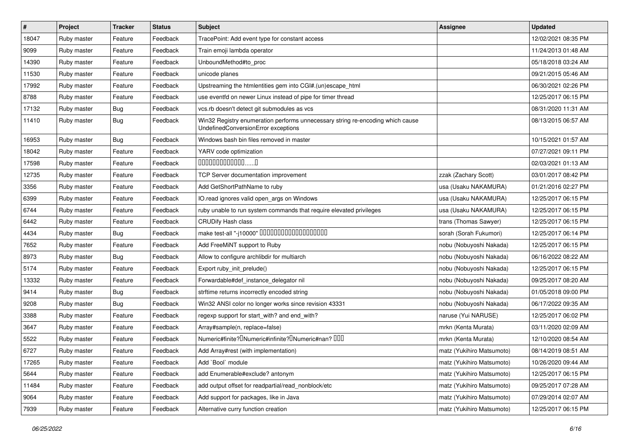| #     | <b>Project</b> | <b>Tracker</b> | <b>Status</b> | Subject                                                                                                               | Assignee                  | <b>Updated</b>      |
|-------|----------------|----------------|---------------|-----------------------------------------------------------------------------------------------------------------------|---------------------------|---------------------|
| 18047 | Ruby master    | Feature        | Feedback      | TracePoint: Add event type for constant access                                                                        |                           | 12/02/2021 08:35 PM |
| 9099  | Ruby master    | Feature        | Feedback      | Train emoji lambda operator                                                                                           |                           | 11/24/2013 01:48 AM |
| 14390 | Ruby master    | Feature        | Feedback      | UnboundMethod#to_proc                                                                                                 |                           | 05/18/2018 03:24 AM |
| 11530 | Ruby master    | Feature        | Feedback      | unicode planes                                                                                                        |                           | 09/21/2015 05:46 AM |
| 17992 | Ruby master    | Feature        | Feedback      | Upstreaming the htmlentities gem into CGI#.(un)escape_html                                                            |                           | 06/30/2021 02:26 PM |
| 8788  | Ruby master    | Feature        | Feedback      | use eventfd on newer Linux instead of pipe for timer thread                                                           |                           | 12/25/2017 06:15 PM |
| 17132 | Ruby master    | <b>Bug</b>     | Feedback      | vcs.rb doesn't detect git submodules as vcs                                                                           |                           | 08/31/2020 11:31 AM |
| 11410 | Ruby master    | Bug            | Feedback      | Win32 Registry enumeration performs unnecessary string re-encoding which cause<br>UndefinedConversionError exceptions |                           | 08/13/2015 06:57 AM |
| 16953 | Ruby master    | Bug            | Feedback      | Windows bash bin files removed in master                                                                              |                           | 10/15/2021 01:57 AM |
| 18042 | Ruby master    | Feature        | Feedback      | YARV code optimization                                                                                                |                           | 07/27/2021 09:11 PM |
| 17598 | Ruby master    | Feature        | Feedback      | $0000000000000010$                                                                                                    |                           | 02/03/2021 01:13 AM |
| 12735 | Ruby master    | Feature        | Feedback      | <b>TCP Server documentation improvement</b>                                                                           | zzak (Zachary Scott)      | 03/01/2017 08:42 PM |
| 3356  | Ruby master    | Feature        | Feedback      | Add GetShortPathName to ruby                                                                                          | usa (Usaku NAKAMURA)      | 01/21/2016 02:27 PM |
| 6399  | Ruby master    | Feature        | Feedback      | IO.read ignores valid open_args on Windows                                                                            | usa (Usaku NAKAMURA)      | 12/25/2017 06:15 PM |
| 6744  | Ruby master    | Feature        | Feedback      | ruby unable to run system commands that require elevated privileges                                                   | usa (Usaku NAKAMURA)      | 12/25/2017 06:15 PM |
| 6442  | Ruby master    | Feature        | Feedback      | <b>CRUDify Hash class</b>                                                                                             | trans (Thomas Sawyer)     | 12/25/2017 06:15 PM |
| 4434  | Ruby master    | Bug            | Feedback      | make test-all "-j10000" 0000000000000000000                                                                           | sorah (Sorah Fukumori)    | 12/25/2017 06:14 PM |
| 7652  | Ruby master    | Feature        | Feedback      | Add FreeMiNT support to Ruby                                                                                          | nobu (Nobuyoshi Nakada)   | 12/25/2017 06:15 PM |
| 8973  | Ruby master    | Bug            | Feedback      | Allow to configure archlibdir for multiarch                                                                           | nobu (Nobuyoshi Nakada)   | 06/16/2022 08:22 AM |
| 5174  | Ruby master    | Feature        | Feedback      | Export ruby_init_prelude()                                                                                            | nobu (Nobuyoshi Nakada)   | 12/25/2017 06:15 PM |
| 13332 | Ruby master    | Feature        | Feedback      | Forwardable#def_instance_delegator nil                                                                                | nobu (Nobuyoshi Nakada)   | 09/25/2017 08:20 AM |
| 9414  | Ruby master    | Bug            | Feedback      | strftime returns incorrectly encoded string                                                                           | nobu (Nobuyoshi Nakada)   | 01/05/2018 09:00 PM |
| 9208  | Ruby master    | <b>Bug</b>     | Feedback      | Win32 ANSI color no longer works since revision 43331                                                                 | nobu (Nobuyoshi Nakada)   | 06/17/2022 09:35 AM |
| 3388  | Ruby master    | Feature        | Feedback      | regexp support for start_with? and end_with?                                                                          | naruse (Yui NARUSE)       | 12/25/2017 06:02 PM |
| 3647  | Ruby master    | Feature        | Feedback      | Array#sample(n, replace=false)                                                                                        | mrkn (Kenta Murata)       | 03/11/2020 02:09 AM |
| 5522  | Ruby master    | Feature        | Feedback      | Numeric#finite? <sup>[]</sup> Numeric#infinite? <sup>[]</sup> Numeric#nan? <sup>[10]</sup>                            | mrkn (Kenta Murata)       | 12/10/2020 08:54 AM |
| 6727  | Ruby master    | Feature        | Feedback      | Add Array#rest (with implementation)                                                                                  | matz (Yukihiro Matsumoto) | 08/14/2019 08:51 AM |
| 17265 | Ruby master    | Feature        | Feedback      | Add `Bool` module                                                                                                     | matz (Yukihiro Matsumoto) | 10/26/2020 09:44 AM |
| 5644  | Ruby master    | Feature        | Feedback      | add Enumerable#exclude? antonym                                                                                       | matz (Yukihiro Matsumoto) | 12/25/2017 06:15 PM |
| 11484 | Ruby master    | Feature        | Feedback      | add output offset for readpartial/read nonblock/etc                                                                   | matz (Yukihiro Matsumoto) | 09/25/2017 07:28 AM |
| 9064  | Ruby master    | Feature        | Feedback      | Add support for packages, like in Java                                                                                | matz (Yukihiro Matsumoto) | 07/29/2014 02:07 AM |
| 7939  | Ruby master    | Feature        | Feedback      | Alternative curry function creation                                                                                   | matz (Yukihiro Matsumoto) | 12/25/2017 06:15 PM |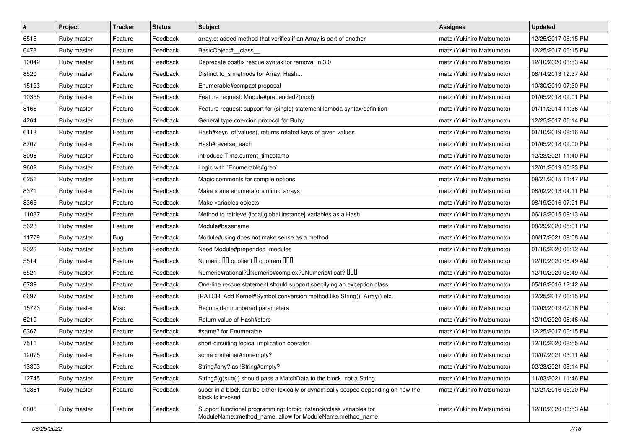| $\sharp$ | Project     | <b>Tracker</b> | <b>Status</b> | Subject                                                                                                                          | Assignee                  | <b>Updated</b>      |
|----------|-------------|----------------|---------------|----------------------------------------------------------------------------------------------------------------------------------|---------------------------|---------------------|
| 6515     | Ruby master | Feature        | Feedback      | array.c: added method that verifies if an Array is part of another                                                               | matz (Yukihiro Matsumoto) | 12/25/2017 06:15 PM |
| 6478     | Ruby master | Feature        | Feedback      | BasicObject#_class_                                                                                                              | matz (Yukihiro Matsumoto) | 12/25/2017 06:15 PM |
| 10042    | Ruby master | Feature        | Feedback      | Deprecate postfix rescue syntax for removal in 3.0                                                                               | matz (Yukihiro Matsumoto) | 12/10/2020 08:53 AM |
| 8520     | Ruby master | Feature        | Feedback      | Distinct to_s methods for Array, Hash                                                                                            | matz (Yukihiro Matsumoto) | 06/14/2013 12:37 AM |
| 15123    | Ruby master | Feature        | Feedback      | Enumerable#compact proposal                                                                                                      | matz (Yukihiro Matsumoto) | 10/30/2019 07:30 PM |
| 10355    | Ruby master | Feature        | Feedback      | Feature request: Module#prepended?(mod)                                                                                          | matz (Yukihiro Matsumoto) | 01/05/2018 09:01 PM |
| 8168     | Ruby master | Feature        | Feedback      | Feature request: support for (single) statement lambda syntax/definition                                                         | matz (Yukihiro Matsumoto) | 01/11/2014 11:36 AM |
| 4264     | Ruby master | Feature        | Feedback      | General type coercion protocol for Ruby                                                                                          | matz (Yukihiro Matsumoto) | 12/25/2017 06:14 PM |
| 6118     | Ruby master | Feature        | Feedback      | Hash#keys_of(values), returns related keys of given values                                                                       | matz (Yukihiro Matsumoto) | 01/10/2019 08:16 AM |
| 8707     | Ruby master | Feature        | Feedback      | Hash#reverse_each                                                                                                                | matz (Yukihiro Matsumoto) | 01/05/2018 09:00 PM |
| 8096     | Ruby master | Feature        | Feedback      | introduce Time.current_timestamp                                                                                                 | matz (Yukihiro Matsumoto) | 12/23/2021 11:40 PM |
| 9602     | Ruby master | Feature        | Feedback      | Logic with `Enumerable#grep`                                                                                                     | matz (Yukihiro Matsumoto) | 12/01/2019 05:23 PM |
| 6251     | Ruby master | Feature        | Feedback      | Magic comments for compile options                                                                                               | matz (Yukihiro Matsumoto) | 08/21/2015 11:47 PM |
| 8371     | Ruby master | Feature        | Feedback      | Make some enumerators mimic arrays                                                                                               | matz (Yukihiro Matsumoto) | 06/02/2013 04:11 PM |
| 8365     | Ruby master | Feature        | Feedback      | Make variables objects                                                                                                           | matz (Yukihiro Matsumoto) | 08/19/2016 07:21 PM |
| 11087    | Ruby master | Feature        | Feedback      | Method to retrieve {local, global, instance} variables as a Hash                                                                 | matz (Yukihiro Matsumoto) | 06/12/2015 09:13 AM |
| 5628     | Ruby master | Feature        | Feedback      | Module#basename                                                                                                                  | matz (Yukihiro Matsumoto) | 08/29/2020 05:01 PM |
| 11779    | Ruby master | Bug            | Feedback      | Module#using does not make sense as a method                                                                                     | matz (Yukihiro Matsumoto) | 06/17/2021 09:58 AM |
| 8026     | Ruby master | Feature        | Feedback      | Need Module#prepended_modules                                                                                                    | matz (Yukihiro Matsumoto) | 01/16/2020 06:12 AM |
| 5514     | Ruby master | Feature        | Feedback      | Numeric III quotient II quotrem IIII                                                                                             | matz (Yukihiro Matsumoto) | 12/10/2020 08:49 AM |
| 5521     | Ruby master | Feature        | Feedback      | Numeric#rational? <sup>[</sup> ]Numeric#complex? <sup>[]</sup> Numeric#float? <sup>[10]</sup>                                    | matz (Yukihiro Matsumoto) | 12/10/2020 08:49 AM |
| 6739     | Ruby master | Feature        | Feedback      | One-line rescue statement should support specifying an exception class                                                           | matz (Yukihiro Matsumoto) | 05/18/2016 12:42 AM |
| 6697     | Ruby master | Feature        | Feedback      | [PATCH] Add Kernel#Symbol conversion method like String(), Array() etc.                                                          | matz (Yukihiro Matsumoto) | 12/25/2017 06:15 PM |
| 15723    | Ruby master | Misc           | Feedback      | Reconsider numbered parameters                                                                                                   | matz (Yukihiro Matsumoto) | 10/03/2019 07:16 PM |
| 6219     | Ruby master | Feature        | Feedback      | Return value of Hash#store                                                                                                       | matz (Yukihiro Matsumoto) | 12/10/2020 08:46 AM |
| 6367     | Ruby master | Feature        | Feedback      | #same? for Enumerable                                                                                                            | matz (Yukihiro Matsumoto) | 12/25/2017 06:15 PM |
| 7511     | Ruby master | Feature        | Feedback      | short-circuiting logical implication operator                                                                                    | matz (Yukihiro Matsumoto) | 12/10/2020 08:55 AM |
| 12075    | Ruby master | Feature        | Feedback      | some container#nonempty?                                                                                                         | matz (Yukihiro Matsumoto) | 10/07/2021 03:11 AM |
| 13303    | Ruby master | Feature        | Feedback      | String#any? as !String#empty?                                                                                                    | matz (Yukihiro Matsumoto) | 02/23/2021 05:14 PM |
| 12745    | Ruby master | Feature        | Feedback      | String#(g)sub(!) should pass a MatchData to the block, not a String                                                              | matz (Yukihiro Matsumoto) | 11/03/2021 11:46 PM |
| 12861    | Ruby master | Feature        | Feedback      | super in a block can be either lexically or dynamically scoped depending on how the<br>block is invoked                          | matz (Yukihiro Matsumoto) | 12/21/2016 05:20 PM |
| 6806     | Ruby master | Feature        | Feedback      | Support functional programming: forbid instance/class variables for<br>ModuleName::method_name, allow for ModuleName.method_name | matz (Yukihiro Matsumoto) | 12/10/2020 08:53 AM |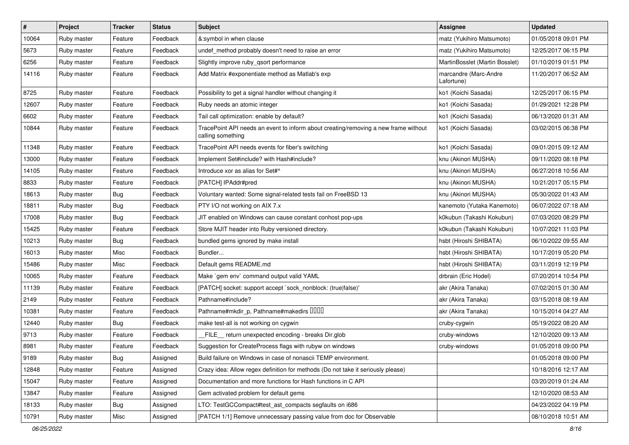| #     | Project     | <b>Tracker</b> | <b>Status</b> | Subject                                                                                                  | Assignee                            | <b>Updated</b>      |
|-------|-------------|----------------|---------------|----------------------------------------------------------------------------------------------------------|-------------------------------------|---------------------|
| 10064 | Ruby master | Feature        | Feedback      | &:symbol in when clause                                                                                  | matz (Yukihiro Matsumoto)           | 01/05/2018 09:01 PM |
| 5673  | Ruby master | Feature        | Feedback      | undef_method probably doesn't need to raise an error                                                     | matz (Yukihiro Matsumoto)           | 12/25/2017 06:15 PM |
| 6256  | Ruby master | Feature        | Feedback      | Slightly improve ruby_qsort performance                                                                  | MartinBosslet (Martin Bosslet)      | 01/10/2019 01:51 PM |
| 14116 | Ruby master | Feature        | Feedback      | Add Matrix #exponentiate method as Matlab's exp                                                          | marcandre (Marc-Andre<br>Lafortune) | 11/20/2017 06:52 AM |
| 8725  | Ruby master | Feature        | Feedback      | Possibility to get a signal handler without changing it                                                  | ko1 (Koichi Sasada)                 | 12/25/2017 06:15 PM |
| 12607 | Ruby master | Feature        | Feedback      | Ruby needs an atomic integer                                                                             | ko1 (Koichi Sasada)                 | 01/29/2021 12:28 PM |
| 6602  | Ruby master | Feature        | Feedback      | Tail call optimization: enable by default?                                                               | ko1 (Koichi Sasada)                 | 06/13/2020 01:31 AM |
| 10844 | Ruby master | Feature        | Feedback      | TracePoint API needs an event to inform about creating/removing a new frame without<br>calling something | ko1 (Koichi Sasada)                 | 03/02/2015 06:38 PM |
| 11348 | Ruby master | Feature        | Feedback      | TracePoint API needs events for fiber's switching                                                        | ko1 (Koichi Sasada)                 | 09/01/2015 09:12 AM |
| 13000 | Ruby master | Feature        | Feedback      | Implement Set#include? with Hash#include?                                                                | knu (Akinori MUSHA)                 | 09/11/2020 08:18 PM |
| 14105 | Ruby master | Feature        | Feedback      | Introduce xor as alias for Set#^                                                                         | knu (Akinori MUSHA)                 | 06/27/2018 10:56 AM |
| 8833  | Ruby master | Feature        | Feedback      | [PATCH] IPAddr#pred                                                                                      | knu (Akinori MUSHA)                 | 10/21/2017 05:15 PM |
| 18613 | Ruby master | <b>Bug</b>     | Feedback      | Voluntary wanted: Some signal-related tests fail on FreeBSD 13                                           | knu (Akinori MUSHA)                 | 05/30/2022 01:43 AM |
| 18811 | Ruby master | <b>Bug</b>     | Feedback      | PTY I/O not working on AIX 7.x                                                                           | kanemoto (Yutaka Kanemoto)          | 06/07/2022 07:18 AM |
| 17008 | Ruby master | <b>Bug</b>     | Feedback      | JIT enabled on Windows can cause constant conhost pop-ups                                                | k0kubun (Takashi Kokubun)           | 07/03/2020 08:29 PM |
| 15425 | Ruby master | Feature        | Feedback      | Store MJIT header into Ruby versioned directory.                                                         | k0kubun (Takashi Kokubun)           | 10/07/2021 11:03 PM |
| 10213 | Ruby master | <b>Bug</b>     | Feedback      | bundled gems ignored by make install                                                                     | hsbt (Hiroshi SHIBATA)              | 06/10/2022 09:55 AM |
| 16013 | Ruby master | Misc           | Feedback      | Bundler                                                                                                  | hsbt (Hiroshi SHIBATA)              | 10/17/2019 05:20 PM |
| 15486 | Ruby master | Misc           | Feedback      | Default gems README.md                                                                                   | hsbt (Hiroshi SHIBATA)              | 03/11/2019 12:19 PM |
| 10065 | Ruby master | Feature        | Feedback      | Make `gem env` command output valid YAML                                                                 | drbrain (Eric Hodel)                | 07/20/2014 10:54 PM |
| 11139 | Ruby master | Feature        | Feedback      | [PATCH] socket: support accept `sock_nonblock: (true false)'                                             | akr (Akira Tanaka)                  | 07/02/2015 01:30 AM |
| 2149  | Ruby master | Feature        | Feedback      | Pathname#include?                                                                                        | akr (Akira Tanaka)                  | 03/15/2018 08:19 AM |
| 10381 | Ruby master | Feature        | Feedback      | Pathname#mkdir_p, Pathname#makedirs IIIII                                                                | akr (Akira Tanaka)                  | 10/15/2014 04:27 AM |
| 12440 | Ruby master | Bug            | Feedback      | make test-all is not working on cygwin                                                                   | cruby-cygwin                        | 05/19/2022 08:20 AM |
| 9713  | Ruby master | Feature        | Feedback      | FILE return unexpected encoding - breaks Dir.glob                                                        | cruby-windows                       | 12/10/2020 09:13 AM |
| 8981  | Ruby master | Feature        | Feedback      | Suggestion for CreateProcess flags with rubyw on windows                                                 | cruby-windows                       | 01/05/2018 09:00 PM |
| 9189  | Ruby master | Bug            | Assigned      | Build failure on Windows in case of nonascii TEMP environment.                                           |                                     | 01/05/2018 09:00 PM |
| 12848 | Ruby master | Feature        | Assigned      | Crazy idea: Allow regex definition for methods (Do not take it seriously please)                         |                                     | 10/18/2016 12:17 AM |
| 15047 | Ruby master | Feature        | Assigned      | Documentation and more functions for Hash functions in C API                                             |                                     | 03/20/2019 01:24 AM |
| 13847 | Ruby master | Feature        | Assigned      | Gem activated problem for default gems                                                                   |                                     | 12/10/2020 08:53 AM |
| 18133 | Ruby master | <b>Bug</b>     | Assigned      | LTO: TestGCCompact#test_ast_compacts segfaults on i686                                                   |                                     | 04/23/2022 04:19 PM |
| 10791 | Ruby master | Misc           | Assigned      | [PATCH 1/1] Remove unnecessary passing value from doc for Observable                                     |                                     | 08/10/2018 10:51 AM |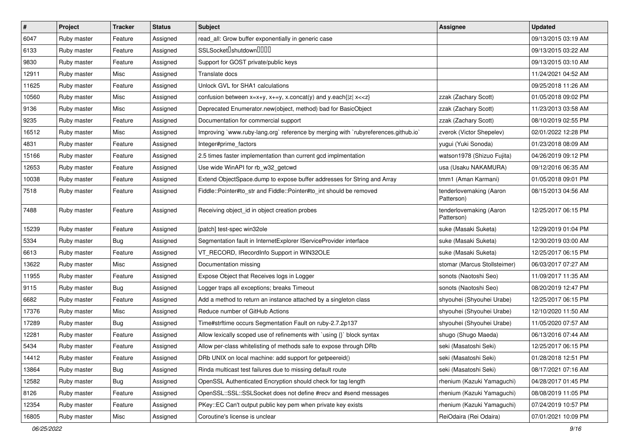| #     | Project     | <b>Tracker</b> | <b>Status</b> | Subject                                                                            | Assignee                              | <b>Updated</b>      |
|-------|-------------|----------------|---------------|------------------------------------------------------------------------------------|---------------------------------------|---------------------|
| 6047  | Ruby master | Feature        | Assigned      | read_all: Grow buffer exponentially in generic case                                |                                       | 09/13/2015 03:19 AM |
| 6133  | Ruby master | Feature        | Assigned      | SSLSocket <sup>[</sup> shutdown <sup>[101]</sup>                                   |                                       | 09/13/2015 03:22 AM |
| 9830  | Ruby master | Feature        | Assigned      | Support for GOST private/public keys                                               |                                       | 09/13/2015 03:10 AM |
| 12911 | Ruby master | Misc           | Assigned      | Translate docs                                                                     |                                       | 11/24/2021 04:52 AM |
| 11625 | Ruby master | Feature        | Assigned      | Unlock GVL for SHA1 calculations                                                   |                                       | 09/25/2018 11:26 AM |
| 10560 | Ruby master | Misc           | Assigned      | confusion between $x=x+y$ , $x+=y$ , x.concat(y) and y.each{ z  $x<}$              | zzak (Zachary Scott)                  | 01/05/2018 09:02 PM |
| 9136  | Ruby master | Misc           | Assigned      | Deprecated Enumerator.new(object, method) bad for BasicObject                      | zzak (Zachary Scott)                  | 11/23/2013 03:58 AM |
| 9235  | Ruby master | Feature        | Assigned      | Documentation for commercial support                                               | zzak (Zachary Scott)                  | 08/10/2019 02:55 PM |
| 16512 | Ruby master | Misc           | Assigned      | Improving `www.ruby-lang.org` reference by merging with `rubyreferences.github.io` | zverok (Victor Shepelev)              | 02/01/2022 12:28 PM |
| 4831  | Ruby master | Feature        | Assigned      | Integer#prime_factors                                                              | yugui (Yuki Sonoda)                   | 01/23/2018 08:09 AM |
| 15166 | Ruby master | Feature        | Assigned      | 2.5 times faster implementation than current gcd implmentation                     | watson1978 (Shizuo Fujita)            | 04/26/2019 09:12 PM |
| 12653 | Ruby master | Feature        | Assigned      | Use wide WinAPI for rb_w32_getcwd                                                  | usa (Usaku NAKAMURA)                  | 09/12/2016 06:35 AM |
| 10038 | Ruby master | Feature        | Assigned      | Extend ObjectSpace.dump to expose buffer addresses for String and Array            | tmm1 (Aman Karmani)                   | 01/05/2018 09:01 PM |
| 7518  | Ruby master | Feature        | Assigned      | Fiddle::Pointer#to_str and Fiddle::Pointer#to_int should be removed                | tenderlovemaking (Aaron<br>Patterson) | 08/15/2013 04:56 AM |
| 7488  | Ruby master | Feature        | Assigned      | Receiving object_id in object creation probes                                      | tenderlovemaking (Aaron<br>Patterson) | 12/25/2017 06:15 PM |
| 15239 | Ruby master | Feature        | Assigned      | [patch] test-spec win32ole                                                         | suke (Masaki Suketa)                  | 12/29/2019 01:04 PM |
| 5334  | Ruby master | Bug            | Assigned      | Segmentation fault in InternetExplorer IServiceProvider interface                  | suke (Masaki Suketa)                  | 12/30/2019 03:00 AM |
| 6613  | Ruby master | Feature        | Assigned      | VT_RECORD, IRecordInfo Support in WIN32OLE                                         | suke (Masaki Suketa)                  | 12/25/2017 06:15 PM |
| 13622 | Ruby master | Misc           | Assigned      | Documentation missing                                                              | stomar (Marcus Stollsteimer)          | 06/03/2017 07:27 AM |
| 11955 | Ruby master | Feature        | Assigned      | Expose Object that Receives logs in Logger                                         | sonots (Naotoshi Seo)                 | 11/09/2017 11:35 AM |
| 9115  | Ruby master | Bug            | Assigned      | Logger traps all exceptions; breaks Timeout                                        | sonots (Naotoshi Seo)                 | 08/20/2019 12:47 PM |
| 6682  | Ruby master | Feature        | Assigned      | Add a method to return an instance attached by a singleton class                   | shyouhei (Shyouhei Urabe)             | 12/25/2017 06:15 PM |
| 17376 | Ruby master | Misc           | Assigned      | Reduce number of GitHub Actions                                                    | shyouhei (Shyouhei Urabe)             | 12/10/2020 11:50 AM |
| 17289 | Ruby master | Bug            | Assigned      | Time#strftime occurs Segmentation Fault on ruby-2.7.2p137                          | shyouhei (Shyouhei Urabe)             | 11/05/2020 07:57 AM |
| 12281 | Ruby master | Feature        | Assigned      | Allow lexically scoped use of refinements with `using {}` block syntax             | shugo (Shugo Maeda)                   | 06/13/2016 07:44 AM |
| 5434  | Ruby master | Feature        | Assigned      | Allow per-class whitelisting of methods safe to expose through DRb                 | seki (Masatoshi Seki)                 | 12/25/2017 06:15 PM |
| 14412 | Ruby master | Feature        | Assigned      | DRb UNIX on local machine: add support for getpeereid()                            | seki (Masatoshi Seki)                 | 01/28/2018 12:51 PM |
| 13864 | Ruby master | Bug            | Assigned      | Rinda multicast test failures due to missing default route                         | seki (Masatoshi Seki)                 | 08/17/2021 07:16 AM |
| 12582 | Ruby master | <b>Bug</b>     | Assigned      | OpenSSL Authenticated Encryption should check for tag length                       | rhenium (Kazuki Yamaguchi)            | 04/28/2017 01:45 PM |
| 8126  | Ruby master | Feature        | Assigned      | OpenSSL::SSL::SSLSocket does not define #recv and #send messages                   | rhenium (Kazuki Yamaguchi)            | 08/08/2019 11:05 PM |
| 12354 | Ruby master | Feature        | Assigned      | PKey::EC Can't output public key pem when private key exists                       | rhenium (Kazuki Yamaguchi)            | 07/24/2019 10:57 PM |
| 16805 | Ruby master | Misc           | Assigned      | Coroutine's license is unclear                                                     | ReiOdaira (Rei Odaira)                | 07/01/2021 10:09 PM |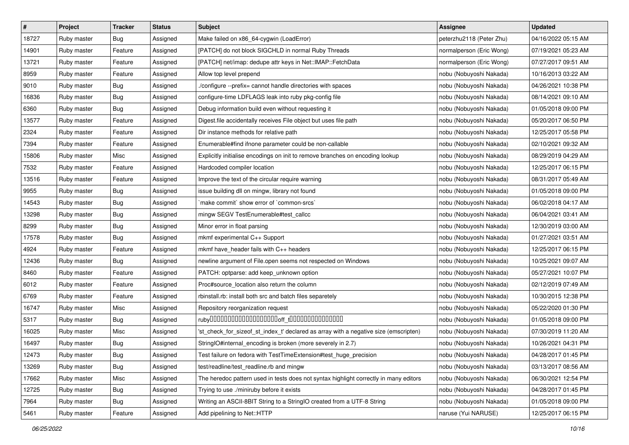| $\vert$ # | Project     | <b>Tracker</b> | <b>Status</b> | Subject                                                                               | Assignee                 | <b>Updated</b>      |
|-----------|-------------|----------------|---------------|---------------------------------------------------------------------------------------|--------------------------|---------------------|
| 18727     | Ruby master | Bug            | Assigned      | Make failed on x86_64-cygwin (LoadError)                                              | peterzhu2118 (Peter Zhu) | 04/16/2022 05:15 AM |
| 14901     | Ruby master | Feature        | Assigned      | [PATCH] do not block SIGCHLD in normal Ruby Threads                                   | normalperson (Eric Wong) | 07/19/2021 05:23 AM |
| 13721     | Ruby master | Feature        | Assigned      | [PATCH] net/imap: dedupe attr keys in Net::IMAP::FetchData                            | normalperson (Eric Wong) | 07/27/2017 09:51 AM |
| 8959      | Ruby master | Feature        | Assigned      | Allow top level prepend                                                               | nobu (Nobuyoshi Nakada)  | 10/16/2013 03:22 AM |
| 9010      | Ruby master | <b>Bug</b>     | Assigned      | /configure --prefix= cannot handle directories with spaces                            | nobu (Nobuyoshi Nakada)  | 04/26/2021 10:38 PM |
| 16836     | Ruby master | Bug            | Assigned      | configure-time LDFLAGS leak into ruby pkg-config file                                 | nobu (Nobuyoshi Nakada)  | 08/14/2021 09:10 AM |
| 6360      | Ruby master | <b>Bug</b>     | Assigned      | Debug information build even without requesting it                                    | nobu (Nobuyoshi Nakada)  | 01/05/2018 09:00 PM |
| 13577     | Ruby master | Feature        | Assigned      | Digest.file accidentally receives File object but uses file path                      | nobu (Nobuyoshi Nakada)  | 05/20/2017 06:50 PM |
| 2324      | Ruby master | Feature        | Assigned      | Dir instance methods for relative path                                                | nobu (Nobuyoshi Nakada)  | 12/25/2017 05:58 PM |
| 7394      | Ruby master | Feature        | Assigned      | Enumerable#find ifnone parameter could be non-callable                                | nobu (Nobuyoshi Nakada)  | 02/10/2021 09:32 AM |
| 15806     | Ruby master | Misc           | Assigned      | Explicitly initialise encodings on init to remove branches on encoding lookup         | nobu (Nobuyoshi Nakada)  | 08/29/2019 04:29 AM |
| 7532      | Ruby master | Feature        | Assigned      | Hardcoded compiler location                                                           | nobu (Nobuyoshi Nakada)  | 12/25/2017 06:15 PM |
| 13516     | Ruby master | Feature        | Assigned      | Improve the text of the circular require warning                                      | nobu (Nobuyoshi Nakada)  | 08/31/2017 05:49 AM |
| 9955      | Ruby master | <b>Bug</b>     | Assigned      | issue building dll on mingw, library not found                                        | nobu (Nobuyoshi Nakada)  | 01/05/2018 09:00 PM |
| 14543     | Ruby master | <b>Bug</b>     | Assigned      | `make commit` show error of `common-srcs`                                             | nobu (Nobuyoshi Nakada)  | 06/02/2018 04:17 AM |
| 13298     | Ruby master | Bug            | Assigned      | mingw SEGV TestEnumerable#test_callcc                                                 | nobu (Nobuyoshi Nakada)  | 06/04/2021 03:41 AM |
| 8299      | Ruby master | <b>Bug</b>     | Assigned      | Minor error in float parsing                                                          | nobu (Nobuyoshi Nakada)  | 12/30/2019 03:00 AM |
| 17578     | Ruby master | Bug            | Assigned      | mkmf experimental C++ Support                                                         | nobu (Nobuyoshi Nakada)  | 01/27/2021 03:51 AM |
| 4924      | Ruby master | Feature        | Assigned      | mkmf have_header fails with C++ headers                                               | nobu (Nobuyoshi Nakada)  | 12/25/2017 06:15 PM |
| 12436     | Ruby master | Bug            | Assigned      | newline argument of File.open seems not respected on Windows                          | nobu (Nobuyoshi Nakada)  | 10/25/2021 09:07 AM |
| 8460      | Ruby master | Feature        | Assigned      | PATCH: optparse: add keep_unknown option                                              | nobu (Nobuyoshi Nakada)  | 05/27/2021 10:07 PM |
| 6012      | Ruby master | Feature        | Assigned      | Proc#source_location also return the column                                           | nobu (Nobuyoshi Nakada)  | 02/12/2019 07:49 AM |
| 6769      | Ruby master | Feature        | Assigned      | rbinstall.rb: install both src and batch files separetely                             | nobu (Nobuyoshi Nakada)  | 10/30/2015 12:38 PM |
| 16747     | Ruby master | Misc           | Assigned      | Repository reorganization request                                                     | nobu (Nobuyoshi Nakada)  | 05/22/2020 01:30 PM |
| 5317      | Ruby master | Bug            | Assigned      |                                                                                       | nobu (Nobuyoshi Nakada)  | 01/05/2018 09:00 PM |
| 16025     | Ruby master | Misc           | Assigned      | 'st_check_for_sizeof_st_index_t' declared as array with a negative size (emscripten)  | nobu (Nobuyoshi Nakada)  | 07/30/2019 11:20 AM |
| 16497     | Ruby master | <b>Bug</b>     | Assigned      | StringIO#internal_encoding is broken (more severely in 2.7)                           | nobu (Nobuyoshi Nakada)  | 10/26/2021 04:31 PM |
| 12473     | Ruby master | <b>Bug</b>     | Assigned      | Test failure on fedora with TestTimeExtension#test_huge_precision                     | nobu (Nobuyoshi Nakada)  | 04/28/2017 01:45 PM |
| 13269     | Ruby master | <b>Bug</b>     | Assigned      | test/readline/test readline.rb and mingw                                              | nobu (Nobuyoshi Nakada)  | 03/13/2017 08:56 AM |
| 17662     | Ruby master | Misc           | Assigned      | The heredoc pattern used in tests does not syntax highlight correctly in many editors | nobu (Nobuyoshi Nakada)  | 06/30/2021 12:54 PM |
| 12725     | Ruby master | <b>Bug</b>     | Assigned      | Trying to use ./miniruby before it exists                                             | nobu (Nobuyoshi Nakada)  | 04/28/2017 01:45 PM |
| 7964      | Ruby master | Bug            | Assigned      | Writing an ASCII-8BIT String to a StringIO created from a UTF-8 String                | nobu (Nobuyoshi Nakada)  | 01/05/2018 09:00 PM |
| 5461      | Ruby master | Feature        | Assigned      | Add pipelining to Net::HTTP                                                           | naruse (Yui NARUSE)      | 12/25/2017 06:15 PM |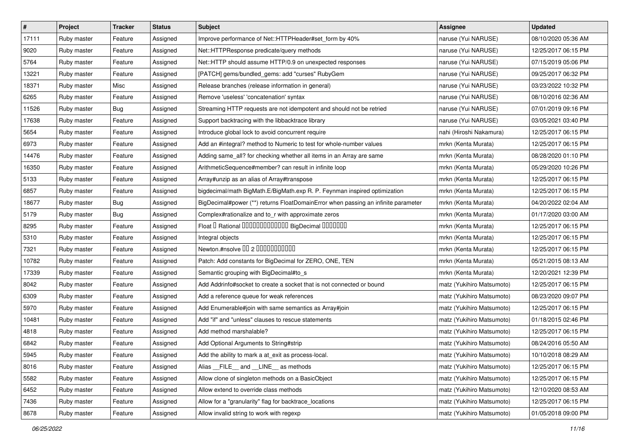| $\vert$ # | Project     | <b>Tracker</b> | <b>Status</b> | <b>Subject</b>                                                                    | Assignee                  | <b>Updated</b>      |
|-----------|-------------|----------------|---------------|-----------------------------------------------------------------------------------|---------------------------|---------------------|
| 17111     | Ruby master | Feature        | Assigned      | Improve performance of Net::HTTPHeader#set_form by 40%                            | naruse (Yui NARUSE)       | 08/10/2020 05:36 AM |
| 9020      | Ruby master | Feature        | Assigned      | Net::HTTPResponse predicate/query methods                                         | naruse (Yui NARUSE)       | 12/25/2017 06:15 PM |
| 5764      | Ruby master | Feature        | Assigned      | Net::HTTP should assume HTTP/0.9 on unexpected responses                          | naruse (Yui NARUSE)       | 07/15/2019 05:06 PM |
| 13221     | Ruby master | Feature        | Assigned      | [PATCH] gems/bundled_gems: add "curses" RubyGem                                   | naruse (Yui NARUSE)       | 09/25/2017 06:32 PM |
| 18371     | Ruby master | Misc           | Assigned      | Release branches (release information in general)                                 | naruse (Yui NARUSE)       | 03/23/2022 10:32 PM |
| 6265      | Ruby master | Feature        | Assigned      | Remove 'useless' 'concatenation' syntax                                           | naruse (Yui NARUSE)       | 08/10/2016 02:36 AM |
| 11526     | Ruby master | Bug            | Assigned      | Streaming HTTP requests are not idempotent and should not be retried              | naruse (Yui NARUSE)       | 07/01/2019 09:16 PM |
| 17638     | Ruby master | Feature        | Assigned      | Support backtracing with the libbacktrace library                                 | naruse (Yui NARUSE)       | 03/05/2021 03:40 PM |
| 5654      | Ruby master | Feature        | Assigned      | Introduce global lock to avoid concurrent require                                 | nahi (Hiroshi Nakamura)   | 12/25/2017 06:15 PM |
| 6973      | Ruby master | Feature        | Assigned      | Add an #integral? method to Numeric to test for whole-number values               | mrkn (Kenta Murata)       | 12/25/2017 06:15 PM |
| 14476     | Ruby master | Feature        | Assigned      | Adding same_all? for checking whether all items in an Array are same              | mrkn (Kenta Murata)       | 08/28/2020 01:10 PM |
| 16350     | Ruby master | Feature        | Assigned      | ArithmeticSequence#member? can result in infinite loop                            | mrkn (Kenta Murata)       | 05/29/2020 10:26 PM |
| 5133      | Ruby master | Feature        | Assigned      | Array#unzip as an alias of Array#transpose                                        | mrkn (Kenta Murata)       | 12/25/2017 06:15 PM |
| 6857      | Ruby master | Feature        | Assigned      | bigdecimal/math BigMath.E/BigMath.exp R. P. Feynman inspired optimization         | mrkn (Kenta Murata)       | 12/25/2017 06:15 PM |
| 18677     | Ruby master | Bug            | Assigned      | BigDecimal#power (**) returns FloatDomainError when passing an infinite parameter | mrkn (Kenta Murata)       | 04/20/2022 02:04 AM |
| 5179      | Ruby master | Bug            | Assigned      | Complex#rationalize and to_r with approximate zeros                               | mrkn (Kenta Murata)       | 01/17/2020 03:00 AM |
| 8295      | Ruby master | Feature        | Assigned      | Float I Rational IIIIIIIIIIIIIIIIIII BigDecimal IIIIIIIIII                        | mrkn (Kenta Murata)       | 12/25/2017 06:15 PM |
| 5310      | Ruby master | Feature        | Assigned      | Integral objects                                                                  | mrkn (Kenta Murata)       | 12/25/2017 06:15 PM |
| 7321      | Ruby master | Feature        | Assigned      | Newton.#nsolve 00 2 0000000000                                                    | mrkn (Kenta Murata)       | 12/25/2017 06:15 PM |
| 10782     | Ruby master | Feature        | Assigned      | Patch: Add constants for BigDecimal for ZERO, ONE, TEN                            | mrkn (Kenta Murata)       | 05/21/2015 08:13 AM |
| 17339     | Ruby master | Feature        | Assigned      | Semantic grouping with BigDecimal#to_s                                            | mrkn (Kenta Murata)       | 12/20/2021 12:39 PM |
| 8042      | Ruby master | Feature        | Assigned      | Add Addrinfo#socket to create a socket that is not connected or bound             | matz (Yukihiro Matsumoto) | 12/25/2017 06:15 PM |
| 6309      | Ruby master | Feature        | Assigned      | Add a reference queue for weak references                                         | matz (Yukihiro Matsumoto) | 08/23/2020 09:07 PM |
| 5970      | Ruby master | Feature        | Assigned      | Add Enumerable#join with same semantics as Array#join                             | matz (Yukihiro Matsumoto) | 12/25/2017 06:15 PM |
| 10481     | Ruby master | Feature        | Assigned      | Add "if" and "unless" clauses to rescue statements                                | matz (Yukihiro Matsumoto) | 01/18/2015 02:46 PM |
| 4818      | Ruby master | Feature        | Assigned      | Add method marshalable?                                                           | matz (Yukihiro Matsumoto) | 12/25/2017 06:15 PM |
| 6842      | Ruby master | Feature        | Assigned      | Add Optional Arguments to String#strip                                            | matz (Yukihiro Matsumoto) | 08/24/2016 05:50 AM |
| 5945      | Ruby master | Feature        | Assigned      | Add the ability to mark a at_exit as process-local.                               | matz (Yukihiro Matsumoto) | 10/10/2018 08:29 AM |
| 8016      | Ruby master | Feature        | Assigned      | Alias FILE and LINE as methods                                                    | matz (Yukihiro Matsumoto) | 12/25/2017 06:15 PM |
| 5582      | Ruby master | Feature        | Assigned      | Allow clone of singleton methods on a BasicObject                                 | matz (Yukihiro Matsumoto) | 12/25/2017 06:15 PM |
| 6452      | Ruby master | Feature        | Assigned      | Allow extend to override class methods                                            | matz (Yukihiro Matsumoto) | 12/10/2020 08:53 AM |
| 7436      | Ruby master | Feature        | Assigned      | Allow for a "granularity" flag for backtrace_locations                            | matz (Yukihiro Matsumoto) | 12/25/2017 06:15 PM |
| 8678      | Ruby master | Feature        | Assigned      | Allow invalid string to work with regexp                                          | matz (Yukihiro Matsumoto) | 01/05/2018 09:00 PM |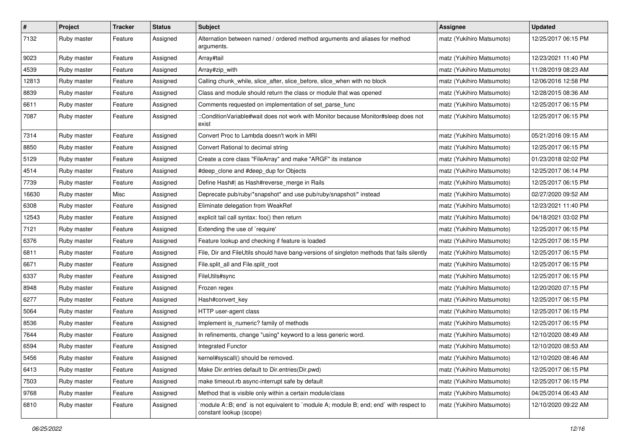| $\vert$ # | Project     | <b>Tracker</b> | <b>Status</b> | <b>Subject</b>                                                                                                   | <b>Assignee</b>           | <b>Updated</b>      |
|-----------|-------------|----------------|---------------|------------------------------------------------------------------------------------------------------------------|---------------------------|---------------------|
| 7132      | Ruby master | Feature        | Assigned      | Alternation between named / ordered method arguments and aliases for method<br>arguments.                        | matz (Yukihiro Matsumoto) | 12/25/2017 06:15 PM |
| 9023      | Ruby master | Feature        | Assigned      | Array#tail                                                                                                       | matz (Yukihiro Matsumoto) | 12/23/2021 11:40 PM |
| 4539      | Ruby master | Feature        | Assigned      | Array#zip_with                                                                                                   | matz (Yukihiro Matsumoto) | 11/28/2019 08:23 AM |
| 12813     | Ruby master | Feature        | Assigned      | Calling chunk_while, slice_after, slice_before, slice_when with no block                                         | matz (Yukihiro Matsumoto) | 12/06/2016 12:58 PM |
| 8839      | Ruby master | Feature        | Assigned      | Class and module should return the class or module that was opened                                               | matz (Yukihiro Matsumoto) | 12/28/2015 08:36 AM |
| 6611      | Ruby master | Feature        | Assigned      | Comments requested on implementation of set_parse_func                                                           | matz (Yukihiro Matsumoto) | 12/25/2017 06:15 PM |
| 7087      | Ruby master | Feature        | Assigned      | ::ConditionVariable#wait does not work with Monitor because Monitor#sleep does not<br>exist                      | matz (Yukihiro Matsumoto) | 12/25/2017 06:15 PM |
| 7314      | Ruby master | Feature        | Assigned      | Convert Proc to Lambda doesn't work in MRI                                                                       | matz (Yukihiro Matsumoto) | 05/21/2016 09:15 AM |
| 8850      | Ruby master | Feature        | Assigned      | Convert Rational to decimal string                                                                               | matz (Yukihiro Matsumoto) | 12/25/2017 06:15 PM |
| 5129      | Ruby master | Feature        | Assigned      | Create a core class "FileArray" and make "ARGF" its instance                                                     | matz (Yukihiro Matsumoto) | 01/23/2018 02:02 PM |
| 4514      | Ruby master | Feature        | Assigned      | #deep_clone and #deep_dup for Objects                                                                            | matz (Yukihiro Matsumoto) | 12/25/2017 06:14 PM |
| 7739      | Ruby master | Feature        | Assigned      | Define Hash#  as Hash#reverse_merge in Rails                                                                     | matz (Yukihiro Matsumoto) | 12/25/2017 06:15 PM |
| 16630     | Ruby master | Misc           | Assigned      | Deprecate pub/ruby/*snapshot* and use pub/ruby/snapshot/* instead                                                | matz (Yukihiro Matsumoto) | 02/27/2020 09:52 AM |
| 6308      | Ruby master | Feature        | Assigned      | Eliminate delegation from WeakRef                                                                                | matz (Yukihiro Matsumoto) | 12/23/2021 11:40 PM |
| 12543     | Ruby master | Feature        | Assigned      | explicit tail call syntax: foo() then return                                                                     | matz (Yukihiro Matsumoto) | 04/18/2021 03:02 PM |
| 7121      | Ruby master | Feature        | Assigned      | Extending the use of `require'                                                                                   | matz (Yukihiro Matsumoto) | 12/25/2017 06:15 PM |
| 6376      | Ruby master | Feature        | Assigned      | Feature lookup and checking if feature is loaded                                                                 | matz (Yukihiro Matsumoto) | 12/25/2017 06:15 PM |
| 6811      | Ruby master | Feature        | Assigned      | File, Dir and FileUtils should have bang-versions of singleton methods that fails silently                       | matz (Yukihiro Matsumoto) | 12/25/2017 06:15 PM |
| 6671      | Ruby master | Feature        | Assigned      | File.split_all and File.split_root                                                                               | matz (Yukihiro Matsumoto) | 12/25/2017 06:15 PM |
| 6337      | Ruby master | Feature        | Assigned      | FileUtils#sync                                                                                                   | matz (Yukihiro Matsumoto) | 12/25/2017 06:15 PM |
| 8948      | Ruby master | Feature        | Assigned      | Frozen regex                                                                                                     | matz (Yukihiro Matsumoto) | 12/20/2020 07:15 PM |
| 6277      | Ruby master | Feature        | Assigned      | Hash#convert_key                                                                                                 | matz (Yukihiro Matsumoto) | 12/25/2017 06:15 PM |
| 5064      | Ruby master | Feature        | Assigned      | HTTP user-agent class                                                                                            | matz (Yukihiro Matsumoto) | 12/25/2017 06:15 PM |
| 8536      | Ruby master | Feature        | Assigned      | Implement is_numeric? family of methods                                                                          | matz (Yukihiro Matsumoto) | 12/25/2017 06:15 PM |
| 7644      | Ruby master | Feature        | Assigned      | In refinements, change "using" keyword to a less generic word.                                                   | matz (Yukihiro Matsumoto) | 12/10/2020 08:49 AM |
| 6594      | Ruby master | Feature        | Assigned      | Integrated Functor                                                                                               | matz (Yukihiro Matsumoto) | 12/10/2020 08:53 AM |
| 5456      | Ruby master | Feature        | Assigned      | kernel#syscall() should be removed.                                                                              | matz (Yukihiro Matsumoto) | 12/10/2020 08:46 AM |
| 6413      | Ruby master | Feature        | Assigned      | Make Dir.entries default to Dir.entries(Dir.pwd)                                                                 | matz (Yukihiro Matsumoto) | 12/25/2017 06:15 PM |
| 7503      | Ruby master | Feature        | Assigned      | make timeout.rb async-interrupt safe by default                                                                  | matz (Yukihiro Matsumoto) | 12/25/2017 06:15 PM |
| 9768      | Ruby master | Feature        | Assigned      | Method that is visible only within a certain module/class                                                        | matz (Yukihiro Matsumoto) | 04/25/2014 06:43 AM |
| 6810      | Ruby master | Feature        | Assigned      | module A::B; end` is not equivalent to `module A; module B; end; end` with respect to<br>constant lookup (scope) | matz (Yukihiro Matsumoto) | 12/10/2020 09:22 AM |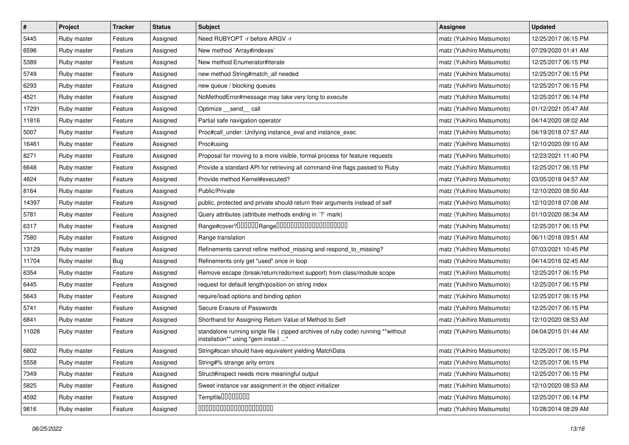| $\vert$ # | Project     | <b>Tracker</b> | <b>Status</b> | Subject                                                                                                                 | <b>Assignee</b>           | <b>Updated</b>      |
|-----------|-------------|----------------|---------------|-------------------------------------------------------------------------------------------------------------------------|---------------------------|---------------------|
| 5445      | Ruby master | Feature        | Assigned      | Need RUBYOPT - r before ARGV - r                                                                                        | matz (Yukihiro Matsumoto) | 12/25/2017 06:15 PM |
| 6596      | Ruby master | Feature        | Assigned      | New method `Array#indexes`                                                                                              | matz (Yukihiro Matsumoto) | 07/29/2020 01:41 AM |
| 5389      | Ruby master | Feature        | Assigned      | New method Enumerator#iterate                                                                                           | matz (Yukihiro Matsumoto) | 12/25/2017 06:15 PM |
| 5749      | Ruby master | Feature        | Assigned      | new method String#match_all needed                                                                                      | matz (Yukihiro Matsumoto) | 12/25/2017 06:15 PM |
| 6293      | Ruby master | Feature        | Assigned      | new queue / blocking queues                                                                                             | matz (Yukihiro Matsumoto) | 12/25/2017 06:15 PM |
| 4521      | Ruby master | Feature        | Assigned      | NoMethodError#message may take very long to execute                                                                     | matz (Yukihiro Matsumoto) | 12/25/2017 06:14 PM |
| 17291     | Ruby master | Feature        | Assigned      | Optimize send call                                                                                                      | matz (Yukihiro Matsumoto) | 01/12/2021 05:47 AM |
| 11816     | Ruby master | Feature        | Assigned      | Partial safe navigation operator                                                                                        | matz (Yukihiro Matsumoto) | 04/14/2020 08:02 AM |
| 5007      | Ruby master | Feature        | Assigned      | Proc#call_under: Unifying instance_eval and instance_exec                                                               | matz (Yukihiro Matsumoto) | 04/19/2018 07:57 AM |
| 16461     | Ruby master | Feature        | Assigned      | Proc#using                                                                                                              | matz (Yukihiro Matsumoto) | 12/10/2020 09:10 AM |
| 8271      | Ruby master | Feature        | Assigned      | Proposal for moving to a more visible, formal process for feature requests                                              | matz (Yukihiro Matsumoto) | 12/23/2021 11:40 PM |
| 6648      | Ruby master | Feature        | Assigned      | Provide a standard API for retrieving all command-line flags passed to Ruby                                             | matz (Yukihiro Matsumoto) | 12/25/2017 06:15 PM |
| 4824      | Ruby master | Feature        | Assigned      | Provide method Kernel#executed?                                                                                         | matz (Yukihiro Matsumoto) | 03/05/2018 04:57 AM |
| 8164      | Ruby master | Feature        | Assigned      | Public/Private                                                                                                          | matz (Yukihiro Matsumoto) | 12/10/2020 08:50 AM |
| 14397     | Ruby master | Feature        | Assigned      | public, protected and private should return their arguments instead of self                                             | matz (Yukihiro Matsumoto) | 12/10/2018 07:08 AM |
| 5781      | Ruby master | Feature        | Assigned      | Query attributes (attribute methods ending in `?` mark)                                                                 | matz (Yukihiro Matsumoto) | 01/10/2020 06:34 AM |
| 6317      | Ruby master | Feature        | Assigned      | Range#cover?000000Range00000000000000000000                                                                             | matz (Yukihiro Matsumoto) | 12/25/2017 06:15 PM |
| 7580      | Ruby master | Feature        | Assigned      | Range translation                                                                                                       | matz (Yukihiro Matsumoto) | 06/11/2018 09:51 AM |
| 13129     | Ruby master | Feature        | Assigned      | Refinements cannot refine method_missing and respond_to_missing?                                                        | matz (Yukihiro Matsumoto) | 07/03/2021 10:45 PM |
| 11704     | Ruby master | Bug            | Assigned      | Refinements only get "used" once in loop                                                                                | matz (Yukihiro Matsumoto) | 04/14/2016 02:45 AM |
| 6354      | Ruby master | Feature        | Assigned      | Remove escape (break/return/redo/next support) from class/module scope                                                  | matz (Yukihiro Matsumoto) | 12/25/2017 06:15 PM |
| 6445      | Ruby master | Feature        | Assigned      | request for default length/position on string index                                                                     | matz (Yukihiro Matsumoto) | 12/25/2017 06:15 PM |
| 5643      | Ruby master | Feature        | Assigned      | require/load options and binding option                                                                                 | matz (Yukihiro Matsumoto) | 12/25/2017 06:15 PM |
| 5741      | Ruby master | Feature        | Assigned      | Secure Erasure of Passwords                                                                                             | matz (Yukihiro Matsumoto) | 12/25/2017 06:15 PM |
| 6841      | Ruby master | Feature        | Assigned      | Shorthand for Assigning Return Value of Method to Self                                                                  | matz (Yukihiro Matsumoto) | 12/10/2020 08:53 AM |
| 11028     | Ruby master | Feature        | Assigned      | standalone running single file ( zipped archives of ruby code) running **without<br>installation** using "gem install " | matz (Yukihiro Matsumoto) | 04/04/2015 01:44 AM |
| 6802      | Ruby master | Feature        | Assigned      | String#scan should have equivalent yielding MatchData                                                                   | matz (Yukihiro Matsumoto) | 12/25/2017 06:15 PM |
| 5558      | Ruby master | Feature        | Assigned      | String#% strange arity errors                                                                                           | matz (Yukihiro Matsumoto) | 12/25/2017 06:15 PM |
| 7349      | Ruby master | Feature        | Assigned      | Struct#inspect needs more meaningful output                                                                             | matz (Yukihiro Matsumoto) | 12/25/2017 06:15 PM |
| 5825      | Ruby master | Feature        | Assigned      | Sweet instance var assignment in the object initializer                                                                 | matz (Yukihiro Matsumoto) | 12/10/2020 08:53 AM |
| 4592      | Ruby master | Feature        | Assigned      | Tempfile0000000                                                                                                         | matz (Yukihiro Matsumoto) | 12/25/2017 06:14 PM |
| 9816      | Ruby master | Feature        | Assigned      | 00000000000000000000                                                                                                    | matz (Yukihiro Matsumoto) | 10/28/2014 08:29 AM |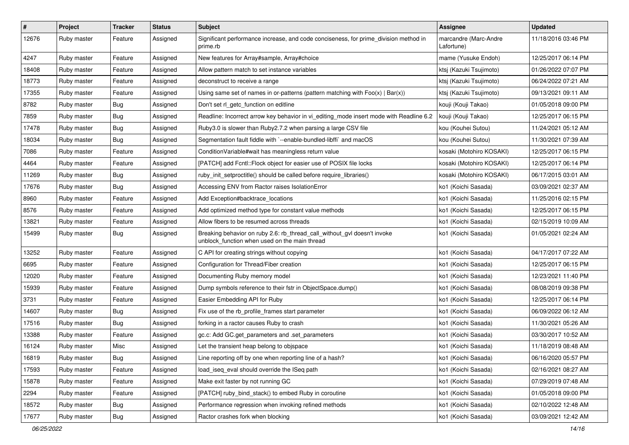| $\vert$ # | Project     | <b>Tracker</b> | <b>Status</b> | Subject                                                                                                                   | <b>Assignee</b>                     | <b>Updated</b>      |
|-----------|-------------|----------------|---------------|---------------------------------------------------------------------------------------------------------------------------|-------------------------------------|---------------------|
| 12676     | Ruby master | Feature        | Assigned      | Significant performance increase, and code conciseness, for prime_division method in<br>prime.rb                          | marcandre (Marc-Andre<br>Lafortune) | 11/18/2016 03:46 PM |
| 4247      | Ruby master | Feature        | Assigned      | New features for Array#sample, Array#choice                                                                               | mame (Yusuke Endoh)                 | 12/25/2017 06:14 PM |
| 18408     | Ruby master | Feature        | Assigned      | Allow pattern match to set instance variables                                                                             | ktsj (Kazuki Tsujimoto)             | 01/26/2022 07:07 PM |
| 18773     | Ruby master | Feature        | Assigned      | deconstruct to receive a range                                                                                            | ktsj (Kazuki Tsujimoto)             | 06/24/2022 07:21 AM |
| 17355     | Ruby master | Feature        | Assigned      | Using same set of names in or-patterns (pattern matching with $Foo(x)   Bar(x)$ )                                         | ktsj (Kazuki Tsujimoto)             | 09/13/2021 09:11 AM |
| 8782      | Ruby master | Bug            | Assigned      | Don't set rl getc function on editline                                                                                    | kouji (Kouji Takao)                 | 01/05/2018 09:00 PM |
| 7859      | Ruby master | Bug            | Assigned      | Readline: Incorrect arrow key behavior in vi_editing_mode insert mode with Readline 6.2                                   | kouji (Kouji Takao)                 | 12/25/2017 06:15 PM |
| 17478     | Ruby master | Bug            | Assigned      | Ruby3.0 is slower than Ruby2.7.2 when parsing a large CSV file                                                            | kou (Kouhei Sutou)                  | 11/24/2021 05:12 AM |
| 18034     | Ruby master | Bug            | Assigned      | Segmentation fault fiddle with `--enable-bundled-libffi` and macOS                                                        | kou (Kouhei Sutou)                  | 11/30/2021 07:39 AM |
| 7086      | Ruby master | Feature        | Assigned      | Condition Variable#wait has meaningless return value                                                                      | kosaki (Motohiro KOSAKI)            | 12/25/2017 06:15 PM |
| 4464      | Ruby master | Feature        | Assigned      | [PATCH] add Fcntl::Flock object for easier use of POSIX file locks                                                        | kosaki (Motohiro KOSAKI)            | 12/25/2017 06:14 PM |
| 11269     | Ruby master | Bug            | Assigned      | ruby_init_setproctitle() should be called before require_libraries()                                                      | kosaki (Motohiro KOSAKI)            | 06/17/2015 03:01 AM |
| 17676     | Ruby master | Bug            | Assigned      | Accessing ENV from Ractor raises IsolationError                                                                           | ko1 (Koichi Sasada)                 | 03/09/2021 02:37 AM |
| 8960      | Ruby master | Feature        | Assigned      | Add Exception#backtrace locations                                                                                         | ko1 (Koichi Sasada)                 | 11/25/2016 02:15 PM |
| 8576      | Ruby master | Feature        | Assigned      | Add optimized method type for constant value methods                                                                      | ko1 (Koichi Sasada)                 | 12/25/2017 06:15 PM |
| 13821     | Ruby master | Feature        | Assigned      | Allow fibers to be resumed across threads                                                                                 | ko1 (Koichi Sasada)                 | 02/15/2019 10:09 AM |
| 15499     | Ruby master | Bug            | Assigned      | Breaking behavior on ruby 2.6: rb_thread_call_without_gvl doesn't invoke<br>unblock_function when used on the main thread | ko1 (Koichi Sasada)                 | 01/05/2021 02:24 AM |
| 13252     | Ruby master | Feature        | Assigned      | C API for creating strings without copying                                                                                | ko1 (Koichi Sasada)                 | 04/17/2017 07:22 AM |
| 6695      | Ruby master | Feature        | Assigned      | Configuration for Thread/Fiber creation                                                                                   | ko1 (Koichi Sasada)                 | 12/25/2017 06:15 PM |
| 12020     | Ruby master | Feature        | Assigned      | Documenting Ruby memory model                                                                                             | ko1 (Koichi Sasada)                 | 12/23/2021 11:40 PM |
| 15939     | Ruby master | Feature        | Assigned      | Dump symbols reference to their fstr in ObjectSpace.dump()                                                                | ko1 (Koichi Sasada)                 | 08/08/2019 09:38 PM |
| 3731      | Ruby master | Feature        | Assigned      | Easier Embedding API for Ruby                                                                                             | ko1 (Koichi Sasada)                 | 12/25/2017 06:14 PM |
| 14607     | Ruby master | Bug            | Assigned      | Fix use of the rb_profile_frames start parameter                                                                          | ko1 (Koichi Sasada)                 | 06/09/2022 06:12 AM |
| 17516     | Ruby master | Bug            | Assigned      | forking in a ractor causes Ruby to crash                                                                                  | ko1 (Koichi Sasada)                 | 11/30/2021 05:26 AM |
| 13388     | Ruby master | Feature        | Assigned      | gc.c: Add GC.get_parameters and .set_parameters                                                                           | ko1 (Koichi Sasada)                 | 03/30/2017 10:52 AM |
| 16124     | Ruby master | Misc           | Assigned      | Let the transient heap belong to objspace                                                                                 | ko1 (Koichi Sasada)                 | 11/18/2019 08:48 AM |
| 16819     | Ruby master | Bug            | Assigned      | Line reporting off by one when reporting line of a hash?                                                                  | ko1 (Koichi Sasada)                 | 06/16/2020 05:57 PM |
| 17593     | Ruby master | Feature        | Assigned      | load_iseq_eval should override the ISeq path                                                                              | ko1 (Koichi Sasada)                 | 02/16/2021 08:27 AM |
| 15878     | Ruby master | Feature        | Assigned      | Make exit faster by not running GC                                                                                        | ko1 (Koichi Sasada)                 | 07/29/2019 07:48 AM |
| 2294      | Ruby master | Feature        | Assigned      | [PATCH] ruby bind stack() to embed Ruby in coroutine                                                                      | ko1 (Koichi Sasada)                 | 01/05/2018 09:00 PM |
| 18572     | Ruby master | Bug            | Assigned      | Performance regression when invoking refined methods                                                                      | ko1 (Koichi Sasada)                 | 02/10/2022 12:48 AM |
| 17677     | Ruby master | Bug            | Assigned      | Ractor crashes fork when blocking                                                                                         | ko1 (Koichi Sasada)                 | 03/09/2021 12:42 AM |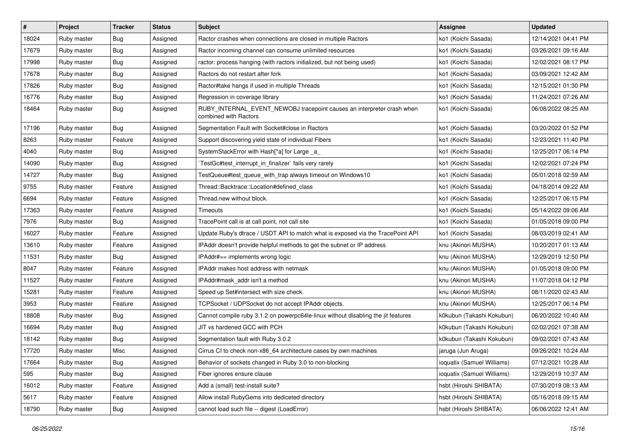| $\vert$ # | Project     | <b>Tracker</b> | <b>Status</b> | Subject                                                                                         | Assignee                   | <b>Updated</b>      |
|-----------|-------------|----------------|---------------|-------------------------------------------------------------------------------------------------|----------------------------|---------------------|
| 18024     | Ruby master | <b>Bug</b>     | Assigned      | Ractor crashes when connections are closed in multiple Ractors                                  | ko1 (Koichi Sasada)        | 12/14/2021 04:41 PM |
| 17679     | Ruby master | Bug            | Assigned      | Ractor incoming channel can consume unlimited resources                                         | ko1 (Koichi Sasada)        | 03/26/2021 09:16 AM |
| 17998     | Ruby master | <b>Bug</b>     | Assigned      | ractor: process hanging (with ractors initialized, but not being used)                          | ko1 (Koichi Sasada)        | 12/02/2021 08:17 PM |
| 17678     | Ruby master | <b>Bug</b>     | Assigned      | Ractors do not restart after fork                                                               | ko1 (Koichi Sasada)        | 03/09/2021 12:42 AM |
| 17826     | Ruby master | Bug            | Assigned      | Ractor#take hangs if used in multiple Threads                                                   | ko1 (Koichi Sasada)        | 12/15/2021 01:30 PM |
| 16776     | Ruby master | <b>Bug</b>     | Assigned      | Regression in coverage library                                                                  | ko1 (Koichi Sasada)        | 11/24/2021 07:26 AM |
| 18464     | Ruby master | Bug            | Assigned      | RUBY_INTERNAL_EVENT_NEWOBJ tracepoint causes an interpreter crash when<br>combined with Ractors | ko1 (Koichi Sasada)        | 06/08/2022 08:25 AM |
| 17196     | Ruby master | <b>Bug</b>     | Assigned      | Segmentation Fault with Socket#close in Ractors                                                 | ko1 (Koichi Sasada)        | 03/20/2022 01:52 PM |
| 8263      | Ruby master | Feature        | Assigned      | Support discovering yield state of individual Fibers                                            | ko1 (Koichi Sasada)        | 12/23/2021 11:40 PM |
| 4040      | Ruby master | <b>Bug</b>     | Assigned      | SystemStackError with Hash[*a] for Large _a_                                                    | ko1 (Koichi Sasada)        | 12/25/2017 06:14 PM |
| 14090     | Ruby master | <b>Bug</b>     | Assigned      | TestGc#test_interrupt_in_finalizer` fails very rarely                                           | ko1 (Koichi Sasada)        | 12/02/2021 07:24 PM |
| 14727     | Ruby master | <b>Bug</b>     | Assigned      | TestQueue#test_queue_with_trap always timeout on Windows10                                      | ko1 (Koichi Sasada)        | 05/01/2018 02:59 AM |
| 9755      | Ruby master | Feature        | Assigned      | Thread::Backtrace::Location#defined class                                                       | ko1 (Koichi Sasada)        | 04/18/2014 09:22 AM |
| 6694      | Ruby master | Feature        | Assigned      | Thread.new without block.                                                                       | ko1 (Koichi Sasada)        | 12/25/2017 06:15 PM |
| 17363     | Ruby master | Feature        | Assigned      | Timeouts                                                                                        | ko1 (Koichi Sasada)        | 05/14/2022 09:06 AM |
| 7976      | Ruby master | <b>Bug</b>     | Assigned      | TracePoint call is at call point, not call site                                                 | ko1 (Koichi Sasada)        | 01/05/2018 09:00 PM |
| 16027     | Ruby master | Feature        | Assigned      | Update Ruby's dtrace / USDT API to match what is exposed via the TracePoint API                 | ko1 (Koichi Sasada)        | 08/03/2019 02:41 AM |
| 13610     | Ruby master | Feature        | Assigned      | IPAddr doesn't provide helpful methods to get the subnet or IP address                          | knu (Akinori MUSHA)        | 10/20/2017 01:13 AM |
| 11531     | Ruby master | Bug            | Assigned      | IPAddr#== implements wrong logic                                                                | knu (Akinori MUSHA)        | 12/29/2019 12:50 PM |
| 8047      | Ruby master | Feature        | Assigned      | <b>IPAddr makes host address with netmask</b>                                                   | knu (Akinori MUSHA)        | 01/05/2018 09:00 PM |
| 11527     | Ruby master | Feature        | Assigned      | IPAddr#mask_addr isn't a method                                                                 | knu (Akinori MUSHA)        | 11/07/2018 04:12 PM |
| 15281     | Ruby master | Feature        | Assigned      | Speed up Set#intersect with size check.                                                         | knu (Akinori MUSHA)        | 08/11/2020 02:43 AM |
| 3953      | Ruby master | Feature        | Assigned      | TCPSocket / UDPSocket do not accept IPAddr objects.                                             | knu (Akinori MUSHA)        | 12/25/2017 06:14 PM |
| 18808     | Ruby master | <b>Bug</b>     | Assigned      | Cannot compile ruby 3.1.2 on powerpc64le-linux without disabling the jit features               | k0kubun (Takashi Kokubun)  | 06/20/2022 10:40 AM |
| 16694     | Ruby master | <b>Bug</b>     | Assigned      | JIT vs hardened GCC with PCH                                                                    | k0kubun (Takashi Kokubun)  | 02/02/2021 07:38 AM |
| 18142     | Ruby master | <b>Bug</b>     | Assigned      | Segmentation fault with Ruby 3.0.2                                                              | k0kubun (Takashi Kokubun)  | 09/02/2021 07:43 AM |
| 17720     | Ruby master | Misc           | Assigned      | Cirrus CI to check non-x86_64 architecture cases by own machines                                | jaruga (Jun Aruga)         | 09/26/2021 10:24 AM |
| 17664     | Ruby master | <b>Bug</b>     | Assigned      | Behavior of sockets changed in Ruby 3.0 to non-blocking                                         | ioquatix (Samuel Williams) | 07/12/2021 10:28 AM |
| 595       | Ruby master | <b>Bug</b>     | Assigned      | Fiber ignores ensure clause                                                                     | ioquatix (Samuel Williams) | 12/29/2019 10:37 AM |
| 16012     | Ruby master | Feature        | Assigned      | Add a (small) test-install suite?                                                               | hsbt (Hiroshi SHIBATA)     | 07/30/2019 08:13 AM |
| 5617      | Ruby master | Feature        | Assigned      | Allow install RubyGems into dediceted directory                                                 | hsbt (Hiroshi SHIBATA)     | 05/16/2018 09:15 AM |
| 18790     | Ruby master | <b>Bug</b>     | Assigned      | cannot load such file -- digest (LoadError)                                                     | hsbt (Hiroshi SHIBATA)     | 06/06/2022 12:41 AM |